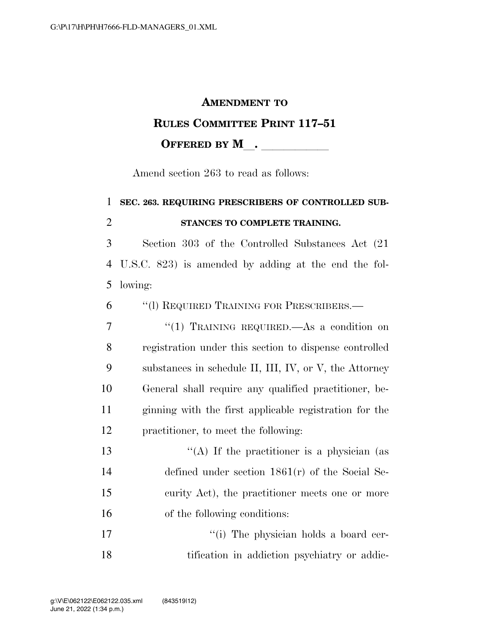#### **AMENDMENT TO**

#### **RULES COMMITTEE PRINT 117–51**

**OFFERED BY M** .

Amend section 263 to read as follows:

# 1 **SEC. 263. REQUIRING PRESCRIBERS OF CONTROLLED SUB-**2 **STANCES TO COMPLETE TRAINING.**  3 Section 303 of the Controlled Substances Act (21 4 U.S.C. 823) is amended by adding at the end the fol-5 lowing: 6 ''(l) REQUIRED TRAINING FOR PRESCRIBERS.— 7 "(1) TRAINING REQUIRED.—As a condition on 8 registration under this section to dispense controlled 9 substances in schedule II, III, IV, or V, the Attorney 10 General shall require any qualified practitioner, be-11 ginning with the first applicable registration for the 12 practitioner, to meet the following:

 $\langle (A)$  If the practitioner is a physician (as defined under section 1861(r) of the Social Se- curity Act), the practitioner meets one or more of the following conditions:

17  $\frac{1}{10}$  The physician holds a board cer-18 tification in addiction psychiatry or addic-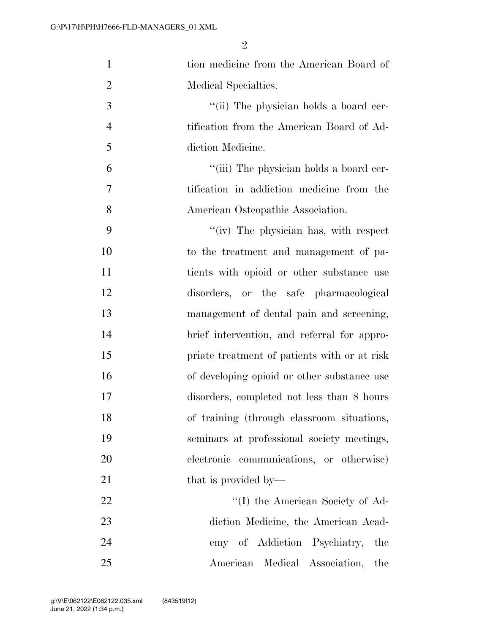| $\mathbf{1}$   | tion medicine from the American Board of     |
|----------------|----------------------------------------------|
| $\overline{2}$ | Medical Specialties.                         |
| 3              | "(ii) The physician holds a board cer-       |
| $\overline{4}$ | tification from the American Board of Ad-    |
| 5              | diction Medicine.                            |
| 6              | "(iii) The physician holds a board cer-      |
| 7              | tification in addiction medicine from the    |
| 8              | American Osteopathic Association.            |
| 9              | "(iv) The physician has, with respect        |
| 10             | to the treatment and management of pa-       |
| 11             | tients with opioid or other substance use    |
| 12             | disorders, or the safe pharmacological       |
| 13             | management of dental pain and screening,     |
| 14             | brief intervention, and referral for appro-  |
| 15             | priate treatment of patients with or at risk |
| 16             | of developing opioid or other substance use  |
| 17             | disorders, completed not less than 8 hours   |
| 18             | of training (through classroom situations,   |
| 19             | seminars at professional society meetings,   |
| 20             | electronic<br>communications, or otherwise)  |
| 21             | that is provided by—                         |
| 22             | "(I) the American Society of Ad-             |
| 23             | diction Medicine, the American Acad-         |
| 24             | emy of Addiction Psychiatry,<br>the          |
| 25             | American Medical Association,<br>the         |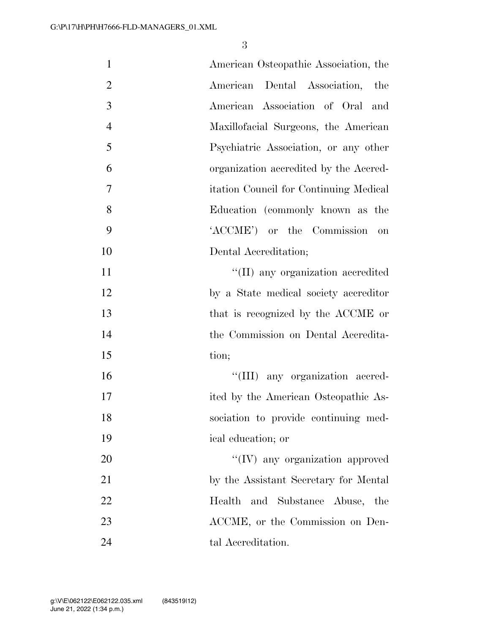| $\mathbf{1}$   | American Osteopathic Association, the   |
|----------------|-----------------------------------------|
| $\overline{2}$ | American Dental Association,<br>the     |
| 3              | American Association of Oral<br>and     |
| $\overline{4}$ | Maxillofacial Surgeons, the American    |
| 5              | Psychiatric Association, or any other   |
| 6              | organization accredited by the Accred-  |
| $\overline{7}$ | itation Council for Continuing Medical  |
| 8              | Education (commonly known as the        |
| 9              | 'ACCME') or the Commission<br>on        |
| 10             | Dental Accreditation;                   |
| 11             | "(II) any organization accredited       |
| 12             | by a State medical society accreditor   |
| 13             | that is recognized by the ACCME or      |
| 14             | the Commission on Dental Accredita-     |
| 15             | tion;                                   |
| 16             | "(III) any organization accred-         |
| 17             | ited by the American Osteopathic As-    |
| 18             | sociation to provide continuing med-    |
| 19             | ical education; or                      |
| 20             | $\lq\lq$ (IV) any organization approved |
| 21             | by the Assistant Secretary for Mental   |
| 22             | Health and Substance Abuse, the         |
| 23             | ACCME, or the Commission on Den-        |
| 24             | tal Accreditation.                      |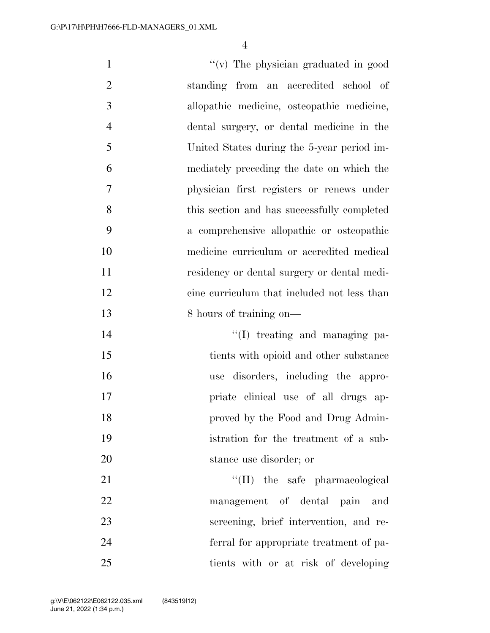$''(v)$  The physician graduated in good standing from an accredited school of allopathic medicine, osteopathic medicine, dental surgery, or dental medicine in the United States during the 5-year period im- mediately preceding the date on which the physician first registers or renews under this section and has successfully completed a comprehensive allopathic or osteopathic medicine curriculum or accredited medical residency or dental surgery or dental medi- cine curriculum that included not less than 13 8 hours of training on—  $\text{``(I)}$  treating and managing pa- tients with opioid and other substance use disorders, including the appro- priate clinical use of all drugs ap- proved by the Food and Drug Admin- istration for the treatment of a sub- stance use disorder; or 21 ''(II) the safe pharmacological management of dental pain and screening, brief intervention, and re- ferral for appropriate treatment of pa-tients with or at risk of developing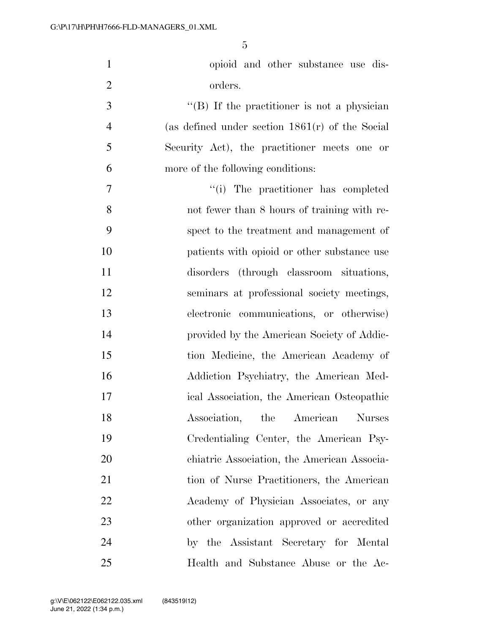| $\mathbf{1}$   | opioid and other substance use dis-                 |
|----------------|-----------------------------------------------------|
| $\overline{2}$ | orders.                                             |
| 3              | $\lq\lq (B)$ If the practitioner is not a physician |
| $\overline{4}$ | (as defined under section $1861(r)$ of the Social   |
| 5              | Security Act), the practitioner meets one or        |
| 6              | more of the following conditions:                   |
| 7              | "(i) The practitioner has completed                 |
| 8              | not fewer than 8 hours of training with re-         |
| 9              | spect to the treatment and management of            |
| 10             | patients with opioid or other substance use         |
| 11             | disorders (through classroom situations,            |
| 12             | seminars at professional society meetings,          |
| 13             | electronic communications, or otherwise)            |
| 14             | provided by the American Society of Addic-          |
| 15             | tion Medicine, the American Academy of              |
| 16             | Addiction Psychiatry, the American Med-             |
| 17             | ical Association, the American Osteopathic          |
| 18             | Association, the American Nurses                    |
| 19             | Credentialing Center, the American Psy-             |
| 20             | chiatric Association, the American Associa-         |
| 21             | tion of Nurse Practitioners, the American           |
| 22             | Academy of Physician Associates, or any             |
| 23             | other organization approved or accredited           |
| 24             | by the Assistant Secretary for Mental               |
| 25             | Health and Substance Abuse or the Ac-               |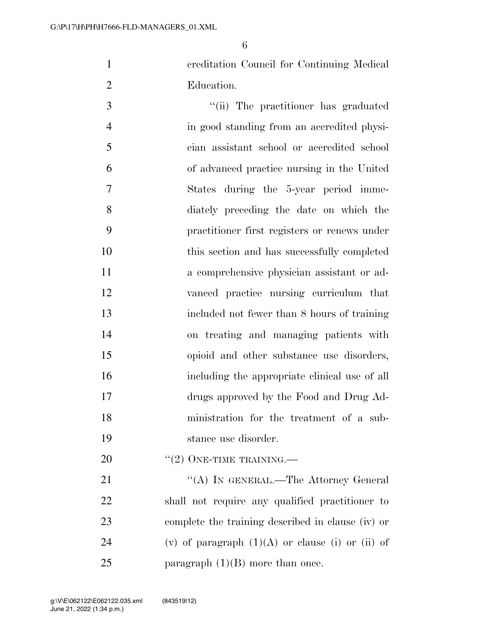creditation Council for Continuing Medical Education.

 $\frac{1}{10}$  The practitioner has graduated in good standing from an accredited physi- cian assistant school or accredited school of advanced practice nursing in the United States during the 5-year period imme- diately preceding the date on which the practitioner first registers or renews under this section and has successfully completed a comprehensive physician assistant or ad- vanced practice nursing curriculum that included not fewer than 8 hours of training on treating and managing patients with opioid and other substance use disorders, including the appropriate clinical use of all drugs approved by the Food and Drug Ad- ministration for the treatment of a sub-stance use disorder.

20  $((2)$  ONE-TIME TRAINING.—

21 ""(A) IN GENERAL.—The Attorney General shall not require any qualified practitioner to complete the training described in clause (iv) or 24 (v) of paragraph  $(1)(A)$  or clause (i) or (ii) of 25 paragraph  $(1)(B)$  more than once.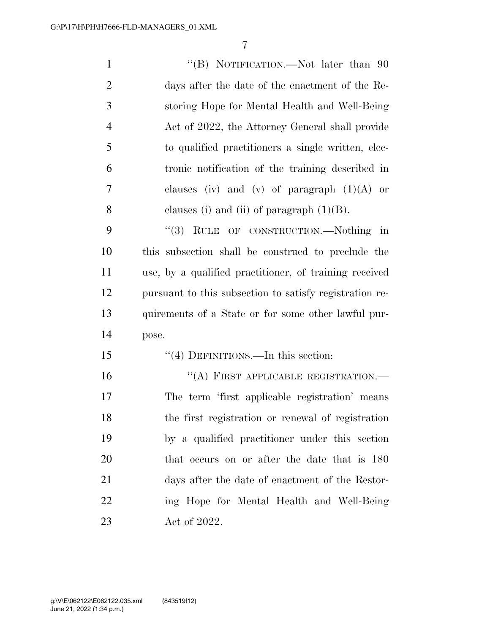| $\mathbf{1}$   | "(B) NOTIFICATION.—Not later than 90                    |
|----------------|---------------------------------------------------------|
| $\mathfrak{2}$ | days after the date of the enactment of the Re-         |
| 3              | storing Hope for Mental Health and Well-Being           |
| $\overline{4}$ | Act of 2022, the Attorney General shall provide         |
| 5              | to qualified practitioners a single written, elec-      |
| 6              | tronic notification of the training described in        |
| 7              | clauses (iv) and (v) of paragraph $(1)(A)$ or           |
| 8              | clauses (i) and (ii) of paragraph $(1)(B)$ .            |
| 9              | "(3) RULE OF CONSTRUCTION.—Nothing in                   |
| 10             | this subsection shall be construed to preclude the      |
| 11             | use, by a qualified practitioner, of training received  |
| 12             | pursuant to this subsection to satisfy registration re- |
| 13             | quirements of a State or for some other lawful pur-     |
| 14             | pose.                                                   |
| 15             | "(4) DEFINITIONS.—In this section:                      |
| 16             | "(A) FIRST APPLICABLE REGISTRATION.-                    |
| 17             | The term 'first applicable registration' means          |
| 18             | the first registration or renewal of registration       |
| 19             | by a qualified practitioner under this section          |
| 20             | that occurs on or after the date that is 180            |
| 21             | days after the date of enactment of the Restor-         |
| 22             | ing Hope for Mental Health and Well-Being               |
| 23             | Act of 2022.                                            |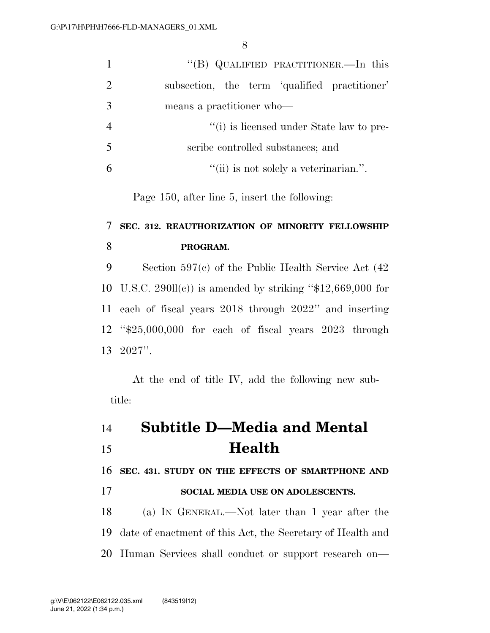|                | "(B) QUALIFIED PRACTITIONER.—In this          |
|----------------|-----------------------------------------------|
| $\overline{2}$ | subsection, the term 'qualified practitioner' |
| 3              | means a practitioner who-                     |
|                | "(i) is licensed under State law to pre-      |
| 5              | scribe controlled substances; and             |
|                | "(ii) is not solely a veterinarian.".         |

Page 150, after line 5, insert the following:

### **SEC. 312. REAUTHORIZATION OF MINORITY FELLOWSHIP PROGRAM.**

 Section 597(c) of the Public Health Service Act (42 10 U.S.C. 290ll(c)) is amended by striking " $$12,669,000$  for each of fiscal years 2018 through 2022'' and inserting ''\$25,000,000 for each of fiscal years 2023 through 2027''.

At the end of title IV, add the following new subtitle:

# **Subtitle D—Media and Mental Health**

**SEC. 431. STUDY ON THE EFFECTS OF SMARTPHONE AND** 

**SOCIAL MEDIA USE ON ADOLESCENTS.** 

 (a) IN GENERAL.—Not later than 1 year after the date of enactment of this Act, the Secretary of Health and Human Services shall conduct or support research on—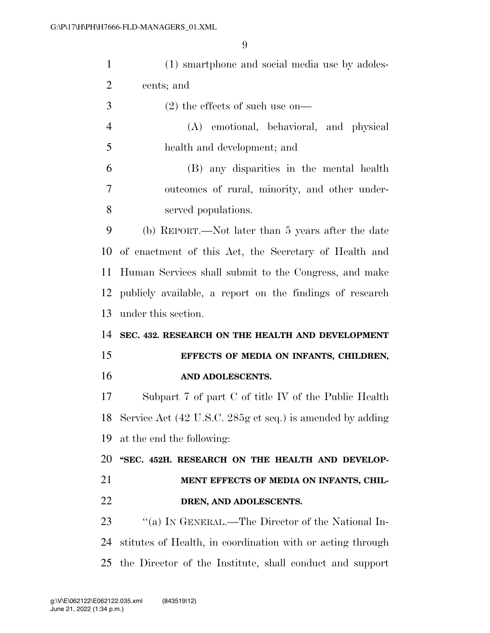| $\mathbf{1}$   | (1) smartphone and social media use by adoles-               |
|----------------|--------------------------------------------------------------|
| 2              | cents; and                                                   |
| 3              | $(2)$ the effects of such use on-                            |
| $\overline{4}$ | (A) emotional, behavioral, and physical                      |
| 5              | health and development; and                                  |
| 6              | (B) any disparities in the mental health                     |
| $\tau$         | outcomes of rural, minority, and other under-                |
| 8              | served populations.                                          |
| 9              | (b) REPORT.—Not later than 5 years after the date            |
| 10             | of enactment of this Act, the Secretary of Health and        |
| 11             | Human Services shall submit to the Congress, and make        |
| 12             | publicly available, a report on the findings of research     |
| 13             | under this section.                                          |
| 14             | SEC. 432. RESEARCH ON THE HEALTH AND DEVELOPMENT             |
| 15             | EFFECTS OF MEDIA ON INFANTS, CHILDREN,                       |
| 16             | AND ADOLESCENTS.                                             |
| 17             | Subpart 7 of part C of title IV of the Public Health         |
|                | 18 Service Act (42 U.S.C. 285g et seq.) is amended by adding |
| 19             | at the end the following:                                    |
| 20             | "SEC. 452H. RESEARCH ON THE HEALTH AND DEVELOP-              |
| 21             | MENT EFFECTS OF MEDIA ON INFANTS, CHIL-                      |
| 22             | DREN, AND ADOLESCENTS.                                       |
| 23             |                                                              |
|                | "(a) IN GENERAL.—The Director of the National In-            |
| 24             | stitutes of Health, in coordination with or acting through   |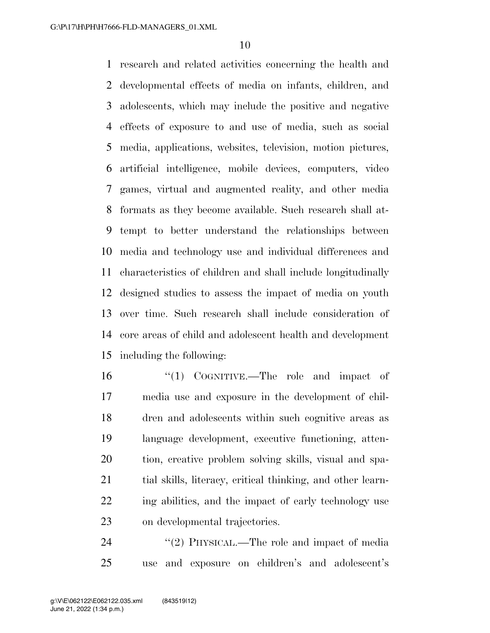research and related activities concerning the health and developmental effects of media on infants, children, and adolescents, which may include the positive and negative effects of exposure to and use of media, such as social media, applications, websites, television, motion pictures, artificial intelligence, mobile devices, computers, video games, virtual and augmented reality, and other media formats as they become available. Such research shall at- tempt to better understand the relationships between media and technology use and individual differences and characteristics of children and shall include longitudinally designed studies to assess the impact of media on youth over time. Such research shall include consideration of core areas of child and adolescent health and development including the following:

 ''(1) COGNITIVE.—The role and impact of media use and exposure in the development of chil- dren and adolescents within such cognitive areas as language development, executive functioning, atten- tion, creative problem solving skills, visual and spa-21 tial skills, literacy, critical thinking, and other learn- ing abilities, and the impact of early technology use on developmental trajectories.

24 "(2) PHYSICAL.—The role and impact of media use and exposure on children's and adolescent's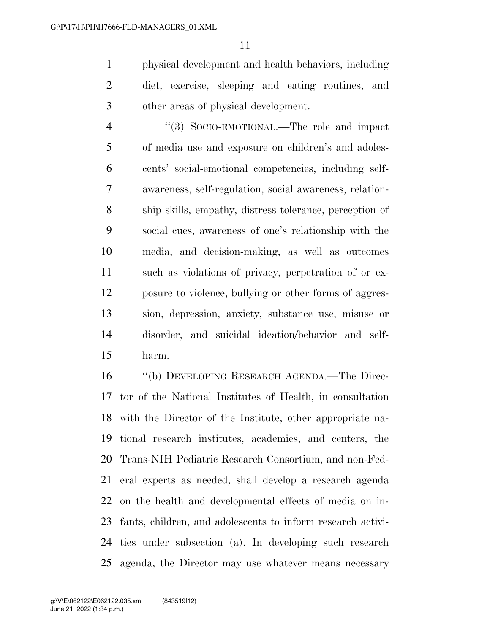physical development and health behaviors, including diet, exercise, sleeping and eating routines, and other areas of physical development.

 $\frac{4}{3}$  SOCIO-EMOTIONAL.—The role and impact of media use and exposure on children's and adoles- cents' social-emotional competencies, including self- awareness, self-regulation, social awareness, relation- ship skills, empathy, distress tolerance, perception of social cues, awareness of one's relationship with the media, and decision-making, as well as outcomes such as violations of privacy, perpetration of or ex- posure to violence, bullying or other forms of aggres- sion, depression, anxiety, substance use, misuse or disorder, and suicidal ideation/behavior and self-harm.

 ''(b) DEVELOPING RESEARCH AGENDA.—The Direc- tor of the National Institutes of Health, in consultation with the Director of the Institute, other appropriate na- tional research institutes, academies, and centers, the Trans-NIH Pediatric Research Consortium, and non-Fed- eral experts as needed, shall develop a research agenda on the health and developmental effects of media on in- fants, children, and adolescents to inform research activi- ties under subsection (a). In developing such research agenda, the Director may use whatever means necessary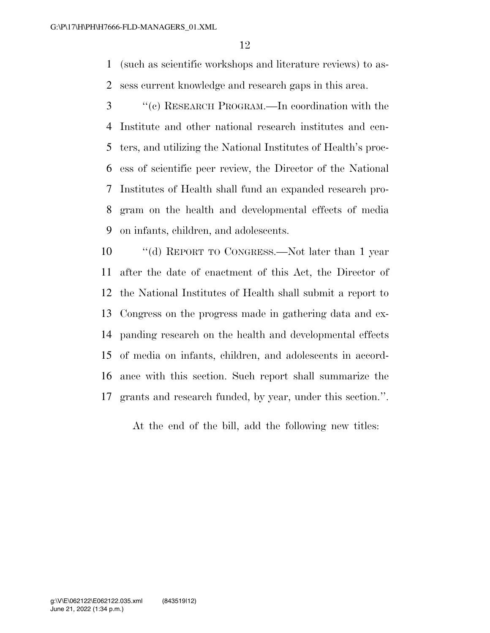(such as scientific workshops and literature reviews) to as-sess current knowledge and research gaps in this area.

 ''(c) RESEARCH PROGRAM.—In coordination with the Institute and other national research institutes and cen- ters, and utilizing the National Institutes of Health's proc- ess of scientific peer review, the Director of the National Institutes of Health shall fund an expanded research pro- gram on the health and developmental effects of media on infants, children, and adolescents.

 ''(d) REPORT TO CONGRESS.—Not later than 1 year after the date of enactment of this Act, the Director of the National Institutes of Health shall submit a report to Congress on the progress made in gathering data and ex- panding research on the health and developmental effects of media on infants, children, and adolescents in accord- ance with this section. Such report shall summarize the grants and research funded, by year, under this section.''.

At the end of the bill, add the following new titles: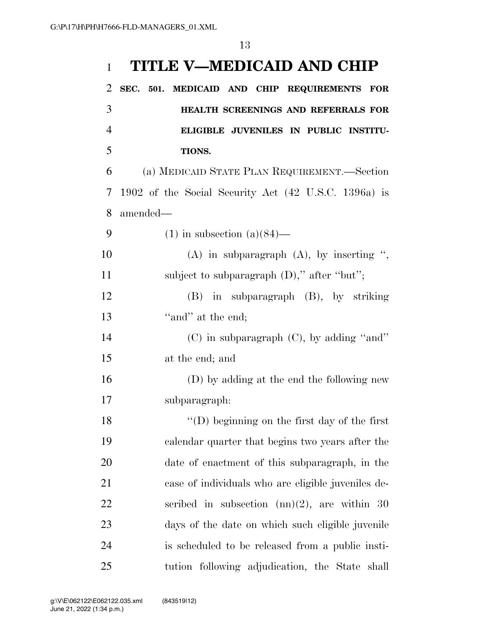# **TITLE V—MEDICAID AND CHIP SEC. 501. MEDICAID AND CHIP REQUIREMENTS FOR HEALTH SCREENINGS AND REFERRALS FOR ELIGIBLE JUVENILES IN PUBLIC INSTITU- TIONS.**  (a) MEDICAID STATE PLAN REQUIREMENT.—Section 1902 of the Social Security Act (42 U.S.C. 1396a) is amended— 9 (1) in subsection  $(a)(84)$ — (A) in subparagraph (A), by inserting '', 11 subject to subparagraph (D)," after "but"; (B) in subparagraph (B), by striking 13 "and" at the end; (C) in subparagraph (C), by adding ''and'' at the end; and (D) by adding at the end the following new subparagraph: 18 ''(D) beginning on the first day of the first calendar quarter that begins two years after the date of enactment of this subparagraph, in the

 case of individuals who are eligible juveniles de- scribed in subsection (nn)(2), are within 30 days of the date on which such eligible juvenile is scheduled to be released from a public insti-tution following adjudication, the State shall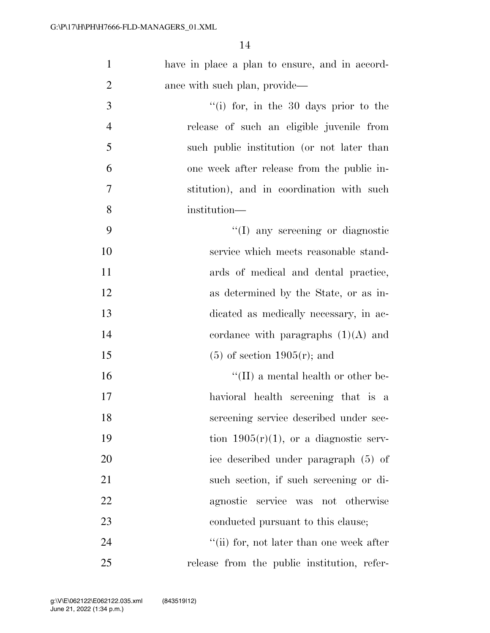| $\mathbf{1}$   | have in place a plan to ensure, and in accord- |
|----------------|------------------------------------------------|
| $\overline{2}$ | ance with such plan, provide—                  |
| 3              | "(i) for, in the 30 days prior to the          |
| $\overline{4}$ | release of such an eligible juvenile from      |
| 5              | such public institution (or not later than     |
| 6              | one week after release from the public in-     |
| $\overline{7}$ | stitution), and in coordination with such      |
| 8              | institution—                                   |
| 9              | "(I) any screening or diagnostic               |
| 10             | service which meets reasonable stand-          |
| 11             | ards of medical and dental practice,           |
| 12             | as determined by the State, or as in-          |
| 13             | dicated as medically necessary, in ac-         |
| 14             | cordance with paragraphs $(1)(A)$ and          |
| 15             | $(5)$ of section 1905 $(r)$ ; and              |
| 16             | $\lq\lq$ (II) a mental health or other be-     |
| 17             | havioral health screening that is a            |
| 18             | screening service described under sec-         |
| 19             | tion $1905(r)(1)$ , or a diagnostic serv-      |
| 20             | ice described under paragraph (5) of           |
| 21             | such section, if such screening or di-         |
| 22             | agnostic service was not otherwise             |
| 23             | conducted pursuant to this clause;             |
| 24             | "(ii) for, not later than one week after       |
| 25             | release from the public institution, refer-    |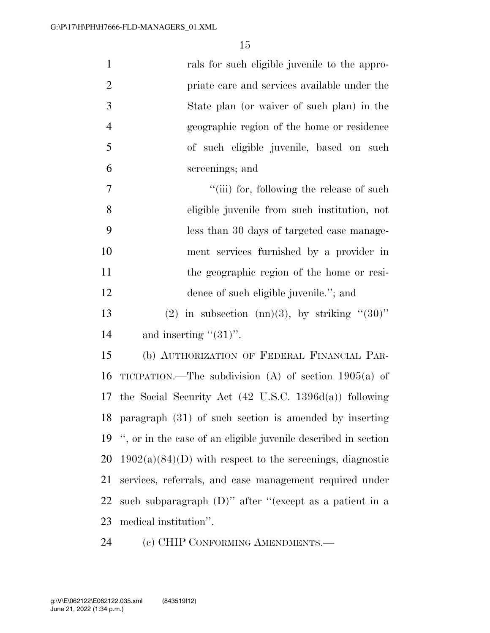| $\mathbf{1}$   | rals for such eligible juvenile to the appro-                  |
|----------------|----------------------------------------------------------------|
| $\overline{2}$ | priate care and services available under the                   |
| 3              | State plan (or waiver of such plan) in the                     |
| $\overline{4}$ | geographic region of the home or residence                     |
| 5              | of such eligible juvenile, based on such                       |
| 6              | screenings; and                                                |
| $\overline{7}$ | "(iii) for, following the release of such                      |
| 8              | eligible juvenile from such institution, not                   |
| 9              | less than 30 days of targeted case manage-                     |
| 10             | ment services furnished by a provider in                       |
| 11             | the geographic region of the home or resi-                     |
| 12             | dence of such eligible juvenile."; and                         |
| 13             | (2) in subsection (nn)(3), by striking " $(30)$ "              |
| 14             | and inserting " $(31)$ ".                                      |
| 15             | (b) AUTHORIZATION OF FEDERAL FINANCIAL PAR-                    |
| 16             | TICIPATION.—The subdivision (A) of section $1905(a)$ of        |
|                | 17 the Social Security Act (42 U.S.C. 1396d(a)) following      |
|                | 18 paragraph (31) of such section is amended by inserting      |
| 19             | ", or in the case of an eligible juvenile described in section |
| 20             | $1902(a)(84)(D)$ with respect to the screenings, diagnostic    |
| 21             | services, referrals, and case management required under        |
| 22             | such subparagraph $(D)$ " after "(except as a patient in a     |
| 23             | medical institution".                                          |
|                |                                                                |

(c) CHIP CONFORMING AMENDMENTS.—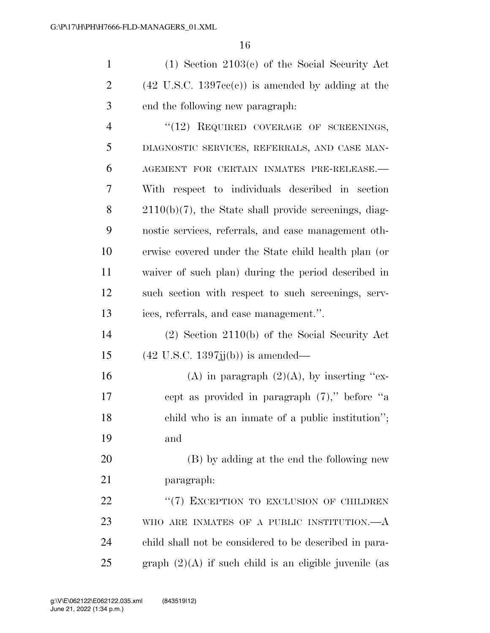(1) Section 2103(c) of the Social Security Act 2 (42 U.S.C. 1397cc(c)) is amended by adding at the end the following new paragraph:

4 "(12) REQUIRED COVERAGE OF SCREENINGS, DIAGNOSTIC SERVICES, REFERRALS, AND CASE MAN- AGEMENT FOR CERTAIN INMATES PRE-RELEASE.— With respect to individuals described in section 2110(b)(7), the State shall provide screenings, diag- nostic services, referrals, and case management oth- erwise covered under the State child health plan (or waiver of such plan) during the period described in such section with respect to such screenings, serv-ices, referrals, and case management.''.

 (2) Section 2110(b) of the Social Security Act 15 (42 U.S.C. 1397jj(b)) is amended—

16 (A) in paragraph  $(2)(A)$ , by inserting "ex- cept as provided in paragraph (7),'' before ''a child who is an inmate of a public institution''; and

 (B) by adding at the end the following new paragraph:

22 "(7) EXCEPTION TO EXCLUSION OF CHILDREN WHO ARE INMATES OF A PUBLIC INSTITUTION.—A child shall not be considered to be described in para-25 graph  $(2)(A)$  if such child is an eligible juvenile (as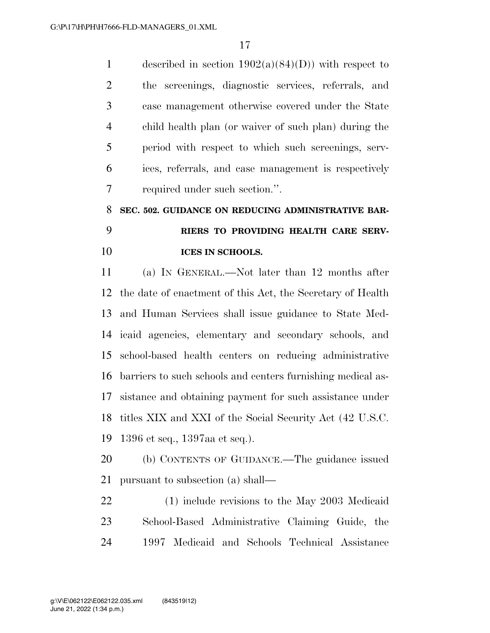1 described in section  $1902(a)(84)(D)$  with respect to the screenings, diagnostic services, referrals, and case management otherwise covered under the State child health plan (or waiver of such plan) during the period with respect to which such screenings, serv- ices, referrals, and case management is respectively required under such section.''.

# **SEC. 502. GUIDANCE ON REDUCING ADMINISTRATIVE BAR- RIERS TO PROVIDING HEALTH CARE SERV-ICES IN SCHOOLS.**

 (a) IN GENERAL.—Not later than 12 months after the date of enactment of this Act, the Secretary of Health and Human Services shall issue guidance to State Med- icaid agencies, elementary and secondary schools, and school-based health centers on reducing administrative barriers to such schools and centers furnishing medical as- sistance and obtaining payment for such assistance under titles XIX and XXI of the Social Security Act (42 U.S.C. 1396 et seq., 1397aa et seq.).

 (b) CONTENTS OF GUIDANCE.—The guidance issued pursuant to subsection (a) shall—

 (1) include revisions to the May 2003 Medicaid School-Based Administrative Claiming Guide, the 1997 Medicaid and Schools Technical Assistance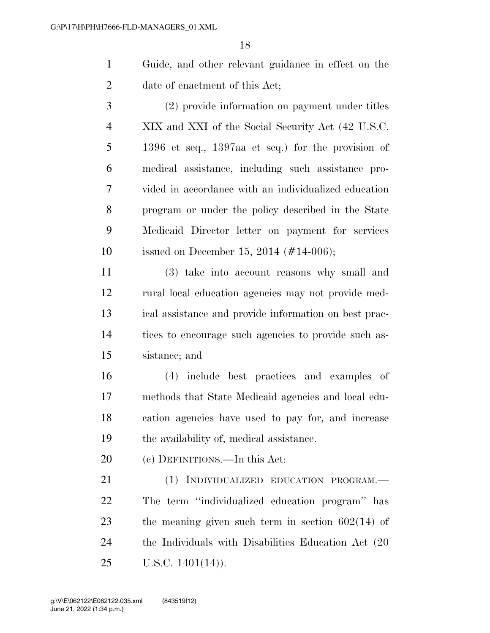Guide, and other relevant guidance in effect on the date of enactment of this Act;

 (2) provide information on payment under titles XIX and XXI of the Social Security Act (42 U.S.C. 1396 et seq., 1397aa et seq.) for the provision of medical assistance, including such assistance pro- vided in accordance with an individualized education program or under the policy described in the State Medicaid Director letter on payment for services issued on December 15, 2014 (#14-006);

 (3) take into account reasons why small and rural local education agencies may not provide med- ical assistance and provide information on best prac- tices to encourage such agencies to provide such as-sistance; and

 (4) include best practices and examples of methods that State Medicaid agencies and local edu- cation agencies have used to pay for, and increase the availability of, medical assistance.

(c) DEFINITIONS.—In this Act:

 (1) INDIVIDUALIZED EDUCATION PROGRAM.— The term ''individualized education program'' has the meaning given such term in section 602(14) of the Individuals with Disabilities Education Act (20 U.S.C. 1401(14)).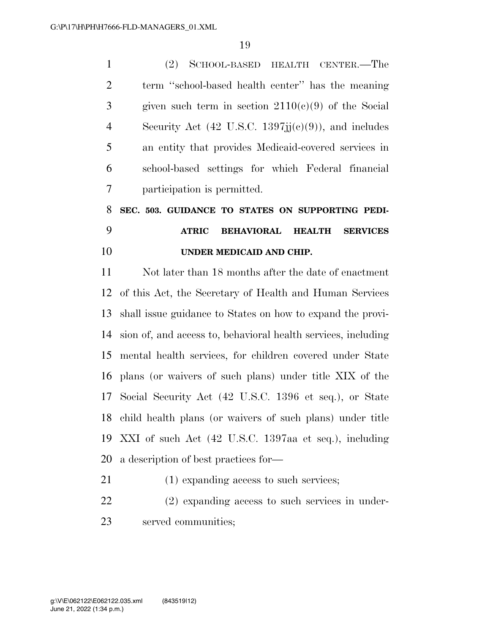(2) SCHOOL-BASED HEALTH CENTER.—The term ''school-based health center'' has the meaning 3 given such term in section  $2110(e)(9)$  of the Social 4 Security Act (42 U.S.C. jj $(e)(9)$ ), and includes an entity that provides Medicaid-covered services in school-based settings for which Federal financial participation is permitted.

# **SEC. 503. GUIDANCE TO STATES ON SUPPORTING PEDI- ATRIC BEHAVIORAL HEALTH SERVICES UNDER MEDICAID AND CHIP.**

 Not later than 18 months after the date of enactment of this Act, the Secretary of Health and Human Services shall issue guidance to States on how to expand the provi- sion of, and access to, behavioral health services, including mental health services, for children covered under State plans (or waivers of such plans) under title XIX of the Social Security Act (42 U.S.C. 1396 et seq.), or State child health plans (or waivers of such plans) under title XXI of such Act (42 U.S.C. 1397aa et seq.), including a description of best practices for—

- (1) expanding access to such services;
- (2) expanding access to such services in under-served communities;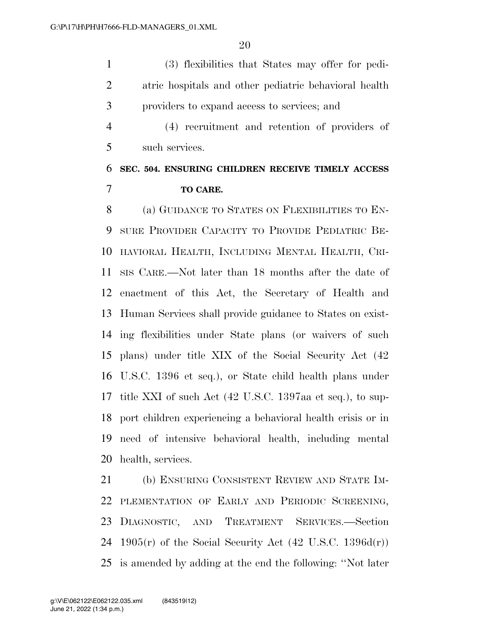(3) flexibilities that States may offer for pedi- atric hospitals and other pediatric behavioral health providers to expand access to services; and

 (4) recruitment and retention of providers of such services.

### **SEC. 504. ENSURING CHILDREN RECEIVE TIMELY ACCESS TO CARE.**

 (a) GUIDANCE TO STATES ON FLEXIBILITIES TO EN- SURE PROVIDER CAPACITY TO PROVIDE PEDIATRIC BE- HAVIORAL HEALTH, INCLUDING MENTAL HEALTH, CRI- SIS CARE.—Not later than 18 months after the date of enactment of this Act, the Secretary of Health and Human Services shall provide guidance to States on exist- ing flexibilities under State plans (or waivers of such plans) under title XIX of the Social Security Act (42 U.S.C. 1396 et seq.), or State child health plans under title XXI of such Act (42 U.S.C. 1397aa et seq.), to sup- port children experiencing a behavioral health crisis or in need of intensive behavioral health, including mental health, services.

 (b) ENSURING CONSISTENT REVIEW AND STATE IM- PLEMENTATION OF EARLY AND PERIODIC SCREENING, DIAGNOSTIC, AND TREATMENT SERVICES.—Section 24 1905 $(r)$  of the Social Security Act  $(42 \text{ U.S.C. } 1396d(r))$ is amended by adding at the end the following: ''Not later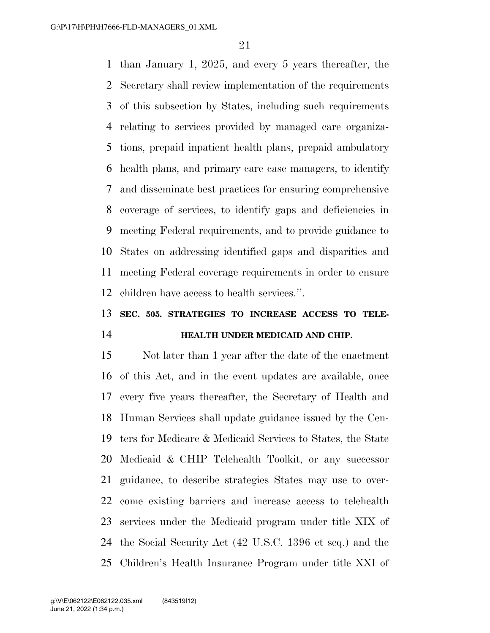than January 1, 2025, and every 5 years thereafter, the Secretary shall review implementation of the requirements of this subsection by States, including such requirements relating to services provided by managed care organiza- tions, prepaid inpatient health plans, prepaid ambulatory health plans, and primary care case managers, to identify and disseminate best practices for ensuring comprehensive coverage of services, to identify gaps and deficiencies in meeting Federal requirements, and to provide guidance to States on addressing identified gaps and disparities and meeting Federal coverage requirements in order to ensure children have access to health services.''.

### **SEC. 505. STRATEGIES TO INCREASE ACCESS TO TELE-HEALTH UNDER MEDICAID AND CHIP.**

 Not later than 1 year after the date of the enactment of this Act, and in the event updates are available, once every five years thereafter, the Secretary of Health and Human Services shall update guidance issued by the Cen- ters for Medicare & Medicaid Services to States, the State Medicaid & CHIP Telehealth Toolkit, or any successor guidance, to describe strategies States may use to over- come existing barriers and increase access to telehealth services under the Medicaid program under title XIX of the Social Security Act (42 U.S.C. 1396 et seq.) and the Children's Health Insurance Program under title XXI of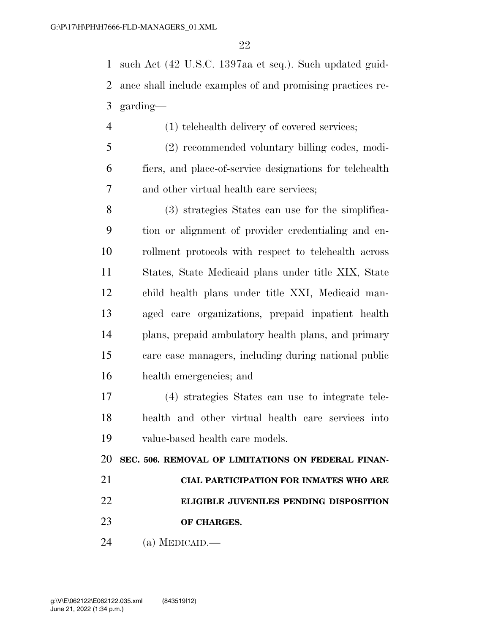such Act (42 U.S.C. 1397aa et seq.). Such updated guid- ance shall include examples of and promising practices re-garding—

- (1) telehealth delivery of covered services;
- (2) recommended voluntary billing codes, modi- fiers, and place-of-service designations for telehealth and other virtual health care services;

 (3) strategies States can use for the simplifica- tion or alignment of provider credentialing and en- rollment protocols with respect to telehealth across States, State Medicaid plans under title XIX, State child health plans under title XXI, Medicaid man- aged care organizations, prepaid inpatient health plans, prepaid ambulatory health plans, and primary care case managers, including during national public health emergencies; and

 (4) strategies States can use to integrate tele- health and other virtual health care services into value-based health care models.

**SEC. 506. REMOVAL OF LIMITATIONS ON FEDERAL FINAN-**

- **CIAL PARTICIPATION FOR INMATES WHO ARE ELIGIBLE JUVENILES PENDING DISPOSITION**
- **OF CHARGES.**
- (a) MEDICAID.—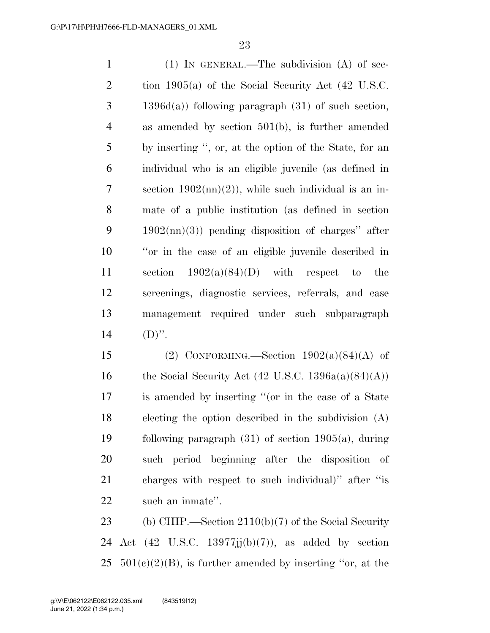| $\mathbf{1}$   | $(1)$ IN GENERAL.—The subdivision $(A)$ of sec-                 |
|----------------|-----------------------------------------------------------------|
| $\overline{2}$ | tion 1905(a) of the Social Security Act $(42 \text{ U.S.C.})$   |
| 3              | $1396d(a)$ following paragraph $(31)$ of such section,          |
| $\overline{4}$ | as amended by section $501(b)$ , is further amended             |
| 5              | by inserting ", or, at the option of the State, for an          |
| 6              | individual who is an eligible juvenile (as defined in           |
| $\tau$         | section $1902 \text{(nn)}(2)$ , while such individual is an in- |
| 8              | mate of a public institution (as defined in section             |
| 9              | $1902 \text{(nn)}(3)$ pending disposition of charges" after     |
| 10             | "or in the case of an eligible juvenile described in            |
| 11             | section $1902(a)(84)(D)$ with respect to the                    |
| 12             | screenings, diagnostic services, referrals, and case            |
| 13             | management required under such subparagraph                     |
| 14             | $(D)$ ".                                                        |

15 (2) CONFORMING.—Section  $1902(a)(84)(A)$  of 16 the Social Security Act  $(42 \text{ U.S.C. } 1396a(a)(84)(A))$  is amended by inserting ''(or in the case of a State electing the option described in the subdivision (A) following paragraph (31) of section 1905(a), during such period beginning after the disposition of charges with respect to such individual)'' after ''is such an inmate''.

 (b) CHIP.—Section 2110(b)(7) of the Social Security 24 Act  $(42 \text{ U.S.C. } 13977jj(b)(7))$ , as added by section 25  $501(c)(2)(B)$ , is further amended by inserting "or, at the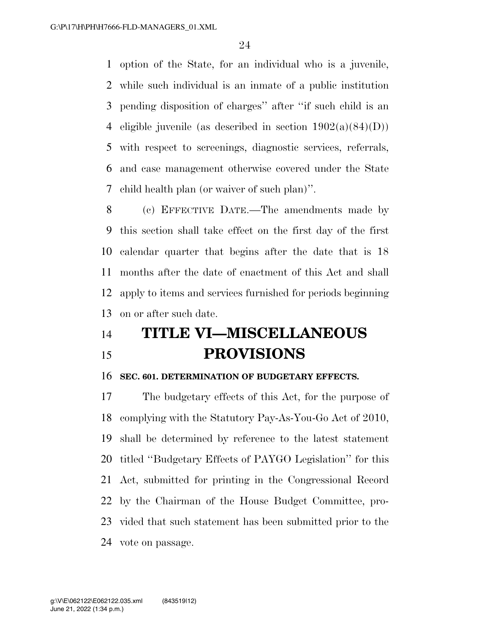option of the State, for an individual who is a juvenile, while such individual is an inmate of a public institution pending disposition of charges'' after ''if such child is an 4 eligible juvenile (as described in section  $1902(a)(84)(D)$ ) with respect to screenings, diagnostic services, referrals, and case management otherwise covered under the State child health plan (or waiver of such plan)''.

 (c) EFFECTIVE DATE.—The amendments made by this section shall take effect on the first day of the first calendar quarter that begins after the date that is 18 months after the date of enactment of this Act and shall apply to items and services furnished for periods beginning on or after such date.

# **TITLE VI—MISCELLANEOUS PROVISIONS**

#### **SEC. 601. DETERMINATION OF BUDGETARY EFFECTS.**

 The budgetary effects of this Act, for the purpose of complying with the Statutory Pay-As-You-Go Act of 2010, shall be determined by reference to the latest statement titled ''Budgetary Effects of PAYGO Legislation'' for this Act, submitted for printing in the Congressional Record by the Chairman of the House Budget Committee, pro- vided that such statement has been submitted prior to the vote on passage.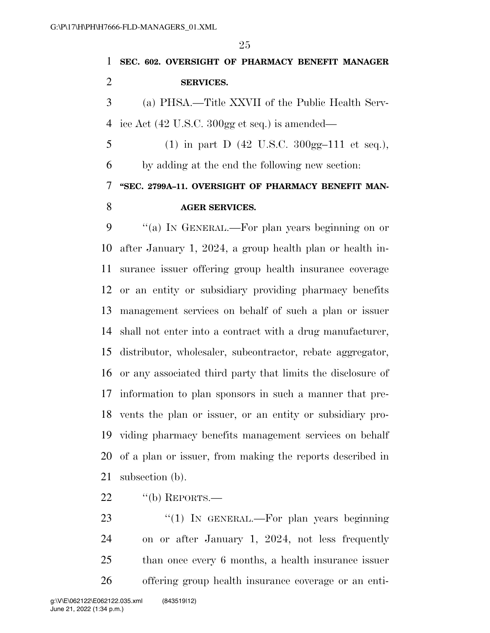**SEC. 602. OVERSIGHT OF PHARMACY BENEFIT MANAGER SERVICES.**  (a) PHSA.—Title XXVII of the Public Health Serv- ice Act (42 U.S.C. 300gg et seq.) is amended— 5 (1) in part D  $(42 \text{ U.S.C. } 300 \text{gg} - 111 \text{ et seq.}),$  by adding at the end the following new section: **''SEC. 2799A–11. OVERSIGHT OF PHARMACY BENEFIT MAN- AGER SERVICES.**  ''(a) IN GENERAL.—For plan years beginning on or after January 1, 2024, a group health plan or health in-surance issuer offering group health insurance coverage

 or an entity or subsidiary providing pharmacy benefits management services on behalf of such a plan or issuer shall not enter into a contract with a drug manufacturer, distributor, wholesaler, subcontractor, rebate aggregator, or any associated third party that limits the disclosure of information to plan sponsors in such a manner that pre- vents the plan or issuer, or an entity or subsidiary pro- viding pharmacy benefits management services on behalf of a plan or issuer, from making the reports described in subsection (b).

22 "(b) REPORTS.—

23 "(1) In GENERAL.—For plan years beginning on or after January 1, 2024, not less frequently than once every 6 months, a health insurance issuer offering group health insurance coverage or an enti-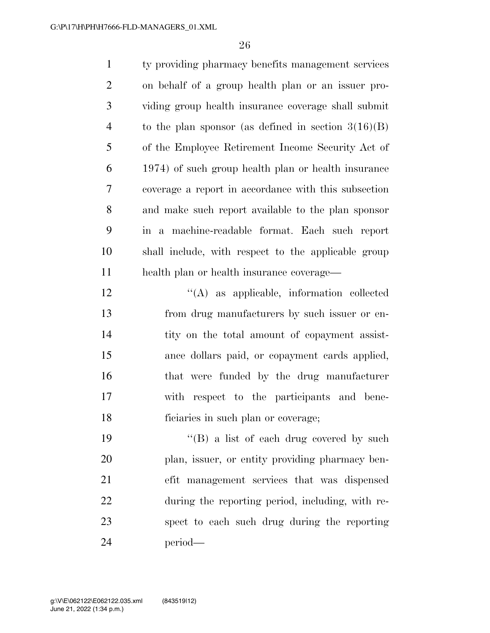| $\mathbf{1}$   | ty providing pharmacy benefits management services      |
|----------------|---------------------------------------------------------|
| $\overline{2}$ | on behalf of a group health plan or an issuer pro-      |
| 3              | viding group health insurance coverage shall submit     |
| $\overline{4}$ | to the plan sponsor (as defined in section $3(16)(B)$ ) |
| 5              | of the Employee Retirement Income Security Act of       |
| 6              | 1974) of such group health plan or health insurance     |
| $\tau$         | coverage a report in accordance with this subsection    |
| 8              | and make such report available to the plan sponsor      |
| 9              | in a machine-readable format. Each such report          |
| 10             | shall include, with respect to the applicable group     |
| 11             | health plan or health insurance coverage—               |
| 12             | $\lq\lq$ as applicable, information collected           |
| 13             | from drug manufacturers by such issuer or en-           |
| 14             | tity on the total amount of copayment assist-           |
| 15             | ance dollars paid, or copayment cards applied,          |
| 16             | that were funded by the drug manufacturer               |
| 17             | respect to the participants and bene-<br>with           |
| 18             | ficiaries in such plan or coverage;                     |
| 19             | "(B) a list of each drug covered by such                |
| 20             | plan, issuer, or entity providing pharmacy ben-         |
| 21             | efit management services that was dispensed             |
| 22             | during the reporting period, including, with re-        |
| 23             | spect to each such drug during the reporting            |
| 24             | period—                                                 |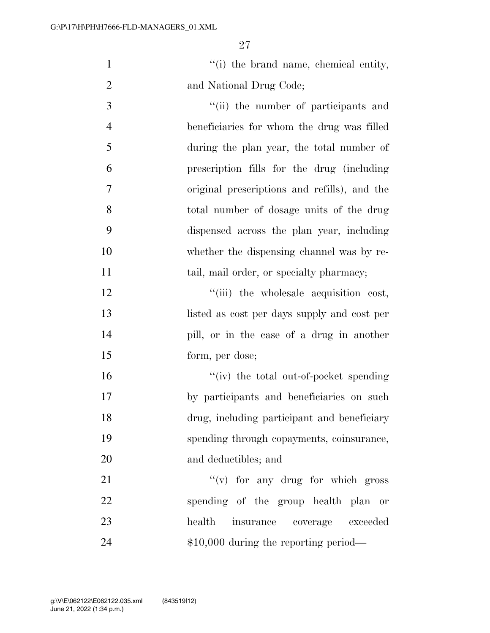''(i) the brand name, chemical entity, 2 and National Drug Code; 3  $\frac{1}{1}$  the number of participants and

 beneficiaries for whom the drug was filled during the plan year, the total number of prescription fills for the drug (including original prescriptions and refills), and the total number of dosage units of the drug dispensed across the plan year, including whether the dispensing channel was by re-11 tail, mail order, or specialty pharmacy;

 $\frac{1}{2}$   $\frac{1}{2}$   $\frac{1}{2}$   $\frac{1}{2}$  the wholesale acquisition cost, listed as cost per days supply and cost per pill, or in the case of a drug in another form, per dose;

 $''(iv)$  the total out-of-pocket spending by participants and beneficiaries on such drug, including participant and beneficiary spending through copayments, coinsurance, and deductibles; and

21 ''(v) for any drug for which gross spending of the group health plan or health insurance coverage exceeded 24 \$10,000 during the reporting period—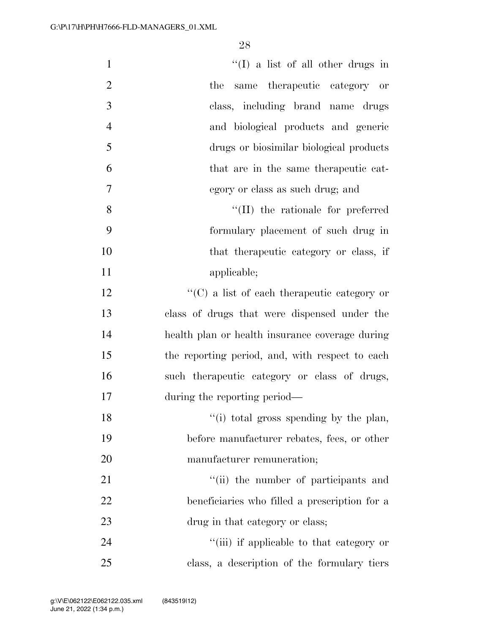| $\mathbf{1}$   | $\lq\lq$ (I) a list of all other drugs in           |
|----------------|-----------------------------------------------------|
| $\overline{2}$ | the<br>same therapeutic category or                 |
| $\mathfrak{Z}$ | class, including brand name drugs                   |
| $\overline{4}$ | and biological products and generic                 |
| 5              | drugs or biosimilar biological products             |
| 6              | that are in the same therapeutic cat-               |
| 7              | egory or class as such drug; and                    |
| 8              | $\lq\lq$ (II) the rationale for preferred           |
| 9              | formulary placement of such drug in                 |
| 10             | that the rapeutic category or class, if             |
| 11             | applicable;                                         |
| 12             | $\lq\lq$ (C) a list of each therapeutic category or |
| 13             | class of drugs that were dispensed under the        |
| 14             | health plan or health insurance coverage during     |
| 15             | the reporting period, and, with respect to each     |
| 16             | such the rapeutic category or class of drugs,       |
| 17             | during the reporting period—                        |
| 18             | "(i) total gross spending by the plan,              |
| 19             | before manufacturer rebates, fees, or other         |
| 20             | manufacturer remuneration;                          |
| 21             | "(ii) the number of participants and                |
| 22             | beneficiaries who filled a prescription for a       |
| 23             | drug in that category or class;                     |
| 24             | "(iii) if applicable to that category or            |
| 25             | class, a description of the formulary tiers         |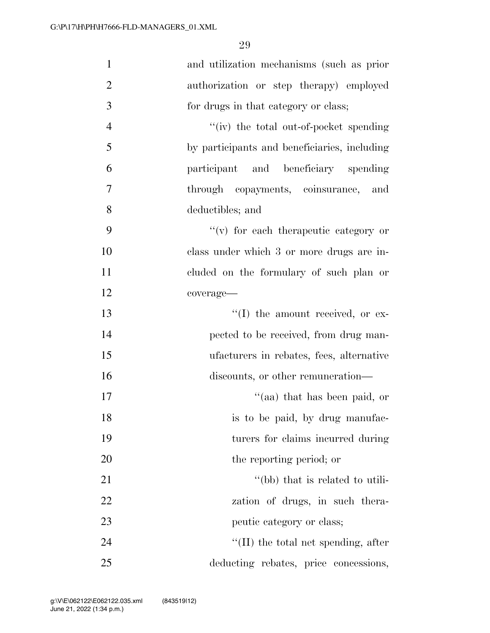| $\mathbf{1}$   | and utilization mechanisms (such as prior    |
|----------------|----------------------------------------------|
| $\overline{2}$ | authorization or step therapy) employed      |
| 3              | for drugs in that category or class;         |
| $\overline{4}$ | "(iv) the total out-of-pocket spending       |
| 5              | by participants and beneficiaries, including |
| 6              | participant and beneficiary spending         |
| 7              | through copayments, coinsurance, and         |
| 8              | deductibles; and                             |
| 9              | "(v) for each therapeutic category or        |
| 10             | class under which 3 or more drugs are in-    |
| 11             | cluded on the formulary of such plan or      |
| 12             | coverage-                                    |
| 13             | "(I) the amount received, or ex-             |
| 14             | pected to be received, from drug man-        |
| 15             | ufacturers in rebates, fees, alternative     |
| 16             | discounts, or other remuneration—            |
| 17             | "(aa) that has been paid, or                 |
| 18             | is to be paid, by drug manufac-              |
| 19             | turers for claims incurred during            |
| 20             | the reporting period; or                     |
| 21             | "(bb) that is related to utili-              |
| 22             | zation of drugs, in such thera-              |
| 23             | peutic category or class;                    |
| 24             | $\lq$ (II) the total net spending, after     |
| 25             | deducting rebates, price concessions,        |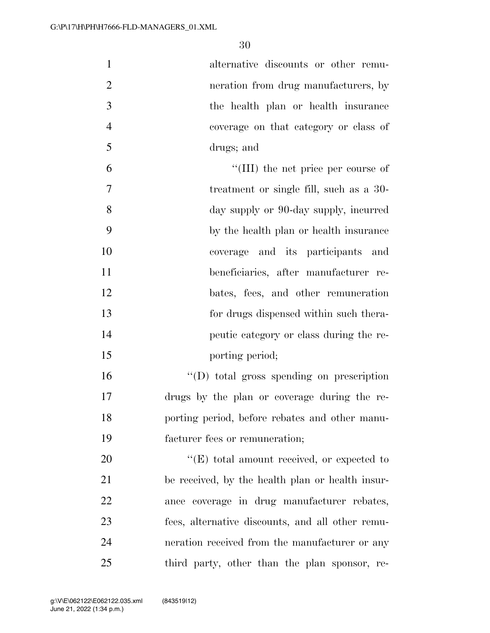alternative discounts or other remu- neration from drug manufacturers, by the health plan or health insurance coverage on that category or class of drugs; and

 ''(III) the net price per course of treatment or single fill, such as a 30- day supply or 90-day supply, incurred by the health plan or health insurance coverage and its participants and beneficiaries, after manufacturer re-12 bates, fees, and other remuneration for drugs dispensed within such thera- peutic category or class during the re-15 porting period;

 ''(D) total gross spending on prescription drugs by the plan or coverage during the re- porting period, before rebates and other manu-facturer fees or remuneration;

 $\bullet$  (E) total amount received, or expected to be received, by the health plan or health insur- ance coverage in drug manufacturer rebates, fees, alternative discounts, and all other remu- neration received from the manufacturer or any third party, other than the plan sponsor, re-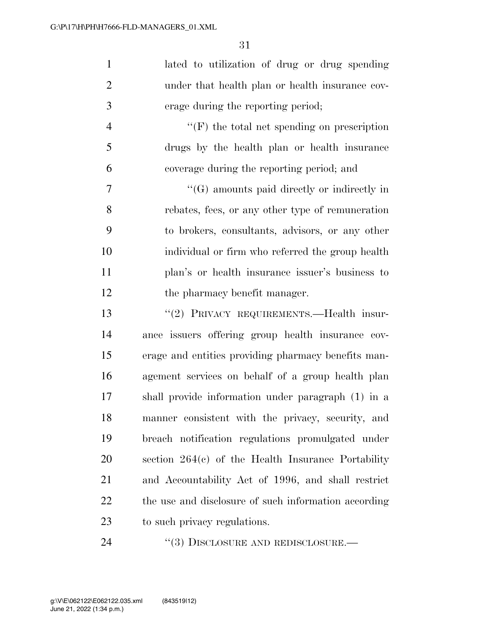| $\mathbf{1}$   | lated to utilization of drug or drug spending        |
|----------------|------------------------------------------------------|
| $\overline{2}$ | under that health plan or health insurance cov-      |
| 3              | erage during the reporting period;                   |
| $\overline{4}$ | $\lq\lq(F)$ the total net spending on prescription   |
| 5              | drugs by the health plan or health insurance         |
| 6              | coverage during the reporting period; and            |
| 7              | $\lq\lq(G)$ amounts paid directly or indirectly in   |
| 8              | rebates, fees, or any other type of remuneration     |
| 9              | to brokers, consultants, advisors, or any other      |
| 10             | individual or firm who referred the group health     |
| 11             | plan's or health insurance issuer's business to      |
| 12             | the pharmacy benefit manager.                        |
| 13             | "(2) PRIVACY REQUIREMENTS.—Health insur-             |
| 14             | ance issuers offering group health insurance cov-    |
| 15             | erage and entities providing pharmacy benefits man-  |
| 16             | agement services on behalf of a group health plan    |
| 17             | shall provide information under paragraph (1) in a   |
| 18             | manner consistent with the privacy, security, and    |
| 19             | breach notification regulations promulgated under    |
| 20             | section $264(c)$ of the Health Insurance Portability |
| 21             | and Accountability Act of 1996, and shall restrict   |
| 22             | the use and disclosure of such information according |
| 23             | to such privacy regulations.                         |
|                |                                                      |

24 ''(3) DISCLOSURE AND REDISCLOSURE.—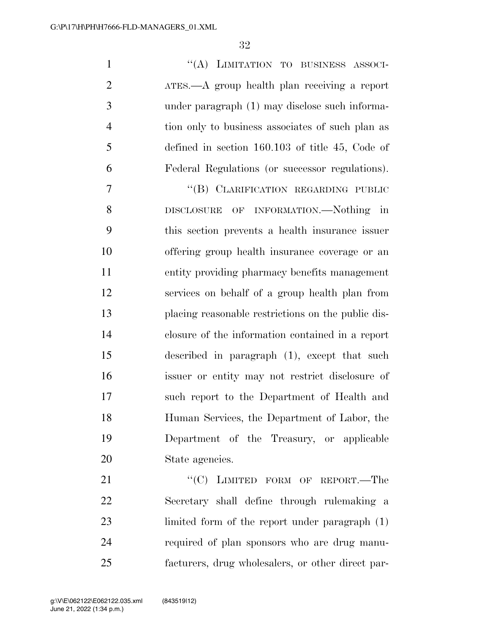1 "(A) LIMITATION TO BUSINESS ASSOCI- ATES.—A group health plan receiving a report under paragraph (1) may disclose such informa- tion only to business associates of such plan as defined in section 160.103 of title 45, Code of Federal Regulations (or successor regulations).

7 "(B) CLARIFICATION REGARDING PUBLIC DISCLOSURE OF INFORMATION.—Nothing in this section prevents a health insurance issuer offering group health insurance coverage or an entity providing pharmacy benefits management services on behalf of a group health plan from placing reasonable restrictions on the public dis- closure of the information contained in a report described in paragraph (1), except that such issuer or entity may not restrict disclosure of such report to the Department of Health and Human Services, the Department of Labor, the Department of the Treasury, or applicable State agencies.

21 "'(C) LIMITED FORM OF REPORT.—The Secretary shall define through rulemaking a limited form of the report under paragraph (1) required of plan sponsors who are drug manu-facturers, drug wholesalers, or other direct par-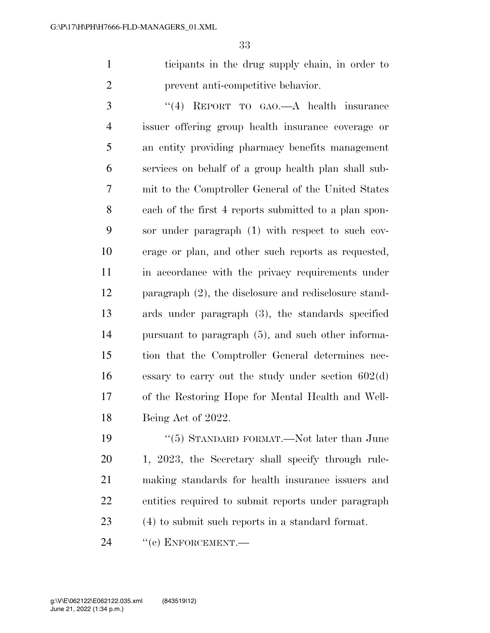ticipants in the drug supply chain, in order to prevent anti-competitive behavior.

 ''(4) REPORT TO GAO.—A health insurance issuer offering group health insurance coverage or an entity providing pharmacy benefits management services on behalf of a group health plan shall sub- mit to the Comptroller General of the United States each of the first 4 reports submitted to a plan spon- sor under paragraph (1) with respect to such cov- erage or plan, and other such reports as requested, in accordance with the privacy requirements under paragraph (2), the disclosure and redisclosure stand- ards under paragraph (3), the standards specified pursuant to paragraph (5), and such other informa- tion that the Comptroller General determines nec- essary to carry out the study under section 602(d) of the Restoring Hope for Mental Health and Well-Being Act of 2022.

 ''(5) STANDARD FORMAT.—Not later than June 1, 2023, the Secretary shall specify through rule- making standards for health insurance issuers and entities required to submit reports under paragraph (4) to submit such reports in a standard format.

24 "(c) ENFORCEMENT.—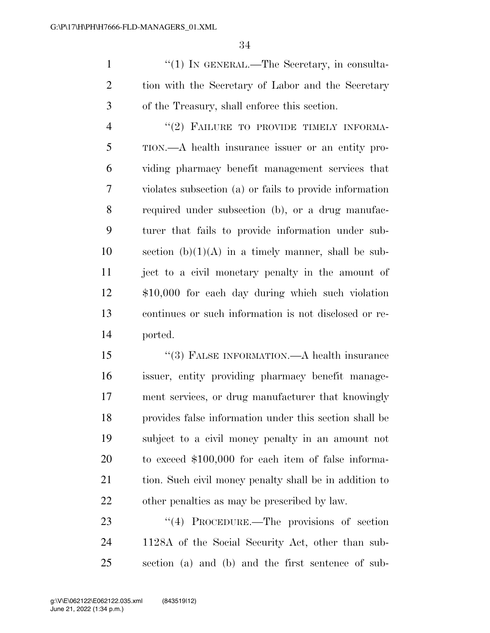1 ''(1) IN GENERAL.—The Secretary, in consulta- tion with the Secretary of Labor and the Secretary of the Treasury, shall enforce this section.

4 "(2) FAILURE TO PROVIDE TIMELY INFORMA- TION.—A health insurance issuer or an entity pro- viding pharmacy benefit management services that violates subsection (a) or fails to provide information required under subsection (b), or a drug manufac- turer that fails to provide information under sub-10 section  $(b)(1)(A)$  in a timely manner, shall be sub- ject to a civil monetary penalty in the amount of \$10,000 for each day during which such violation continues or such information is not disclosed or re-ported.

 ''(3) FALSE INFORMATION.—A health insurance issuer, entity providing pharmacy benefit manage- ment services, or drug manufacturer that knowingly provides false information under this section shall be subject to a civil money penalty in an amount not to exceed \$100,000 for each item of false informa-21 tion. Such civil money penalty shall be in addition to other penalties as may be prescribed by law.

23 "(4) PROCEDURE.—The provisions of section 1128A of the Social Security Act, other than sub-section (a) and (b) and the first sentence of sub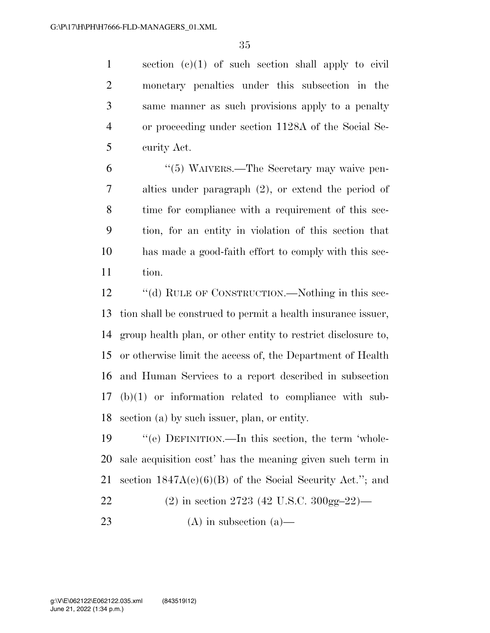section (c)(1) of such section shall apply to civil monetary penalties under this subsection in the same manner as such provisions apply to a penalty or proceeding under section 1128A of the Social Se-curity Act.

 ''(5) WAIVERS.—The Secretary may waive pen- alties under paragraph (2), or extend the period of time for compliance with a requirement of this sec- tion, for an entity in violation of this section that has made a good-faith effort to comply with this sec-tion.

12 "(d) RULE OF CONSTRUCTION.—Nothing in this sec- tion shall be construed to permit a health insurance issuer, group health plan, or other entity to restrict disclosure to, or otherwise limit the access of, the Department of Health and Human Services to a report described in subsection (b)(1) or information related to compliance with sub-section (a) by such issuer, plan, or entity.

 ''(e) DEFINITION.—In this section, the term 'whole- sale acquisition cost' has the meaning given such term in 21 section  $1847A(c)(6)(B)$  of the Social Security Act."; and (2) in section 2723 (42 U.S.C. 300gg–22)— (A) in subsection (a)—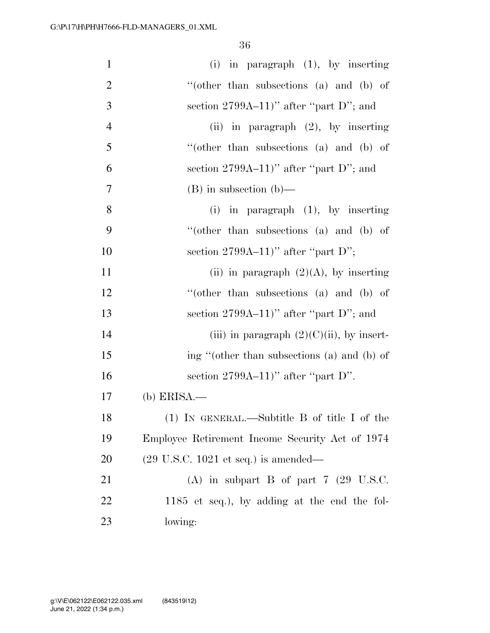| $\mathbf{1}$   | $(i)$ in paragraph $(1)$ , by inserting                 |
|----------------|---------------------------------------------------------|
| $\overline{2}$ | "(other than subsections $(a)$ and $(b)$ of             |
| 3              | section $2799A-11$ " after "part D"; and                |
| $\overline{4}$ | (ii) in paragraph $(2)$ , by inserting                  |
| 5              | "(other than subsections (a) and (b) of                 |
| 6              | section $2799A-11$ " after "part D"; and                |
| 7              | $(B)$ in subsection $(b)$ —                             |
| 8              | (i) in paragraph $(1)$ , by inserting                   |
| 9              | "(other than subsections $(a)$ and $(b)$ of             |
| 10             | section $2799A-11$ " after "part D";                    |
| 11             | (ii) in paragraph $(2)(A)$ , by inserting               |
| 12             | "(other than subsections $(a)$ and $(b)$ of             |
| 13             | section $2799A-11$ " after "part D"; and                |
| 14             | (iii) in paragraph $(2)(C)(ii)$ , by insert-            |
| 15             | ing "(other than subsections (a) and (b) of             |
| 16             | section $2799A-11$ " after "part D".                    |
| 17             | $(b)$ ERISA.—                                           |
| 18             | (1) IN GENERAL.—Subtitle B of title I of the            |
| 19             | Employee Retirement Income Security Act of 1974         |
| 20             | $(29 \text{ U.S.C. } 1021 \text{ et seq.})$ is amended— |
| 21             | (A) in subpart B of part $7$ (29 U.S.C.                 |
| 22             | $1185$ et seq.), by adding at the end the fol-          |
| 23             | lowing:                                                 |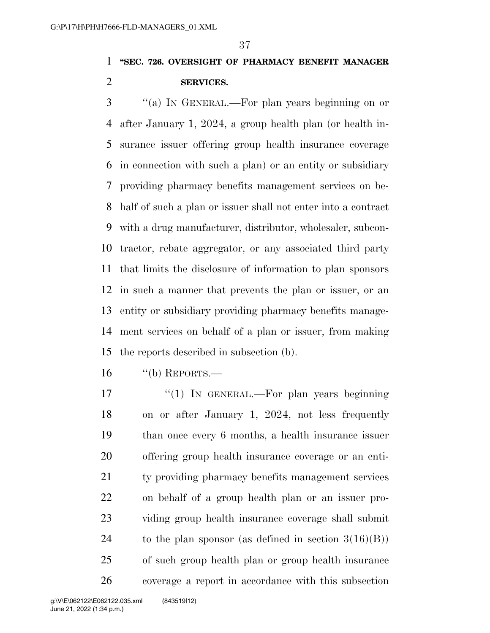## **''SEC. 726. OVERSIGHT OF PHARMACY BENEFIT MANAGER SERVICES.**

 ''(a) IN GENERAL.—For plan years beginning on or after January 1, 2024, a group health plan (or health in- surance issuer offering group health insurance coverage in connection with such a plan) or an entity or subsidiary providing pharmacy benefits management services on be- half of such a plan or issuer shall not enter into a contract with a drug manufacturer, distributor, wholesaler, subcon- tractor, rebate aggregator, or any associated third party that limits the disclosure of information to plan sponsors in such a manner that prevents the plan or issuer, or an entity or subsidiary providing pharmacy benefits manage- ment services on behalf of a plan or issuer, from making the reports described in subsection (b).

- "(b) REPORTS.—
- 17 "(1) In GENERAL.—For plan years beginning on or after January 1, 2024, not less frequently than once every 6 months, a health insurance issuer offering group health insurance coverage or an enti- ty providing pharmacy benefits management services on behalf of a group health plan or an issuer pro- viding group health insurance coverage shall submit 24 to the plan sponsor (as defined in section  $3(16)(B)$ ) of such group health plan or group health insurance coverage a report in accordance with this subsection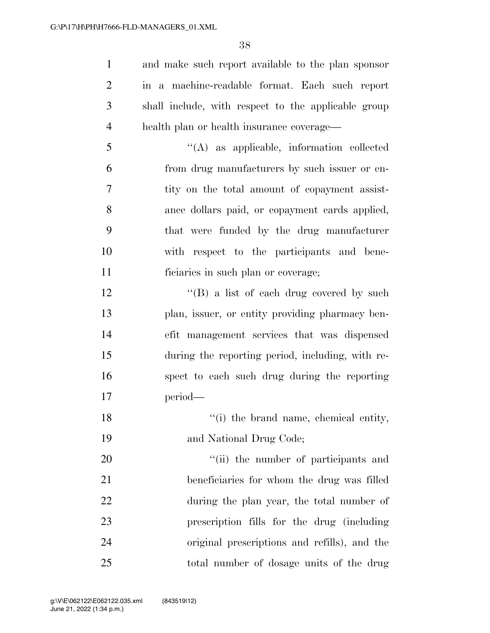and make such report available to the plan sponsor in a machine-readable format. Each such report shall include, with respect to the applicable group health plan or health insurance coverage—

 ''(A) as applicable, information collected from drug manufacturers by such issuer or en- tity on the total amount of copayment assist- ance dollars paid, or copayment cards applied, that were funded by the drug manufacturer with respect to the participants and bene-ficiaries in such plan or coverage;

12 "(B) a list of each drug covered by such plan, issuer, or entity providing pharmacy ben- efit management services that was dispensed during the reporting period, including, with re- spect to each such drug during the reporting period—

18 ''(i) the brand name, chemical entity, and National Drug Code;

 $\frac{1}{20}$  the number of participants and beneficiaries for whom the drug was filled during the plan year, the total number of prescription fills for the drug (including original prescriptions and refills), and the total number of dosage units of the drug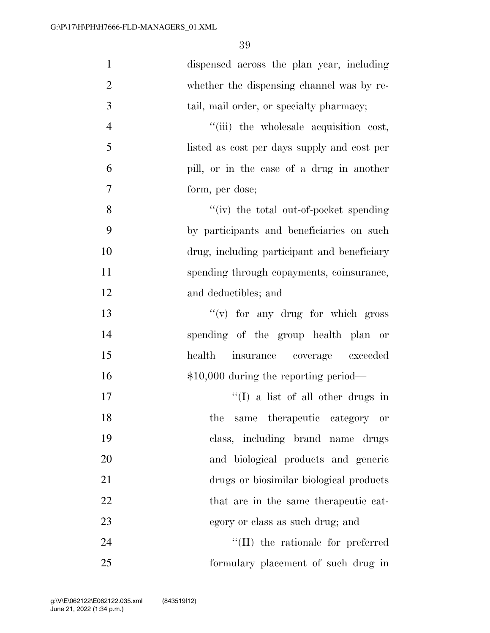| $\mathbf{1}$   | dispensed across the plan year, including   |
|----------------|---------------------------------------------|
| $\overline{2}$ | whether the dispensing channel was by re-   |
| 3              | tail, mail order, or specialty pharmacy;    |
| $\overline{4}$ | "(iii) the wholesale acquisition cost,      |
| 5              | listed as cost per days supply and cost per |
| 6              | pill, or in the case of a drug in another   |
| $\overline{7}$ | form, per dose;                             |
| 8              | "(iv) the total out-of-pocket spending      |
| 9              | by participants and beneficiaries on such   |
| 10             | drug, including participant and beneficiary |
| 11             | spending through copayments, coinsurance,   |
| 12             | and deductibles; and                        |
| 13             | $f'(v)$ for any drug for which gross        |
| 14             | spending of the group health plan or        |
| 15             | health insurance coverage exceeded          |
| 16             | $$10,000$ during the reporting period—      |
| $17\,$         | $\lq\lq$ (I) a list of all other drugs in   |
| 18             | the<br>same therapeutic category or         |
| 19             | class, including brand name drugs           |
| 20             | and biological products and generic         |
| 21             | drugs or biosimilar biological products     |
| 22             | that are in the same therapeutic cat-       |
| 23             | egory or class as such drug; and            |
| 24             | $\lq\lq$ (II) the rationale for preferred   |
| 25             | formulary placement of such drug in         |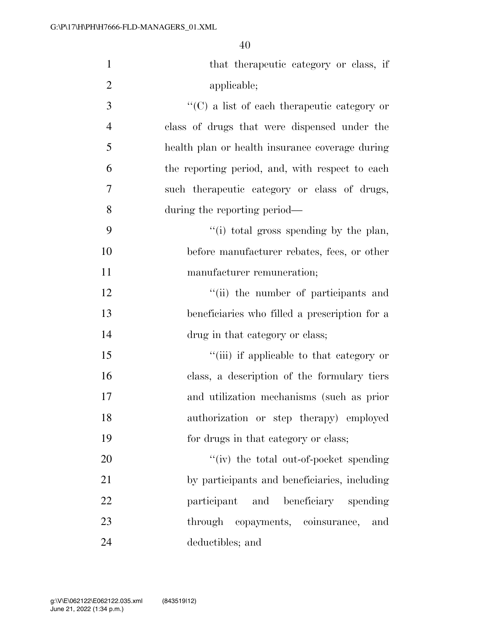| $\mathbf{1}$   | that the rapeutic category or class, if             |
|----------------|-----------------------------------------------------|
| $\overline{2}$ | applicable;                                         |
| 3              | $\lq\lq$ (C) a list of each therapeutic category or |
| $\overline{4}$ | class of drugs that were dispensed under the        |
| 5              | health plan or health insurance coverage during     |
| 6              | the reporting period, and, with respect to each     |
| 7              | such the rapeutic category or class of drugs,       |
| 8              | during the reporting period—                        |
| 9              | "(i) total gross spending by the plan,              |
| 10             | before manufacturer rebates, fees, or other         |
| 11             | manufacturer remuneration;                          |
| 12             | "(ii) the number of participants and                |
| 13             | beneficiaries who filled a prescription for a       |
| 14             | drug in that category or class;                     |
| 15             | "(iii) if applicable to that category or            |
| 16             | class, a description of the formulary tiers         |
| 17             | and utilization mechanisms (such as prior           |
| 18             | authorization or step therapy) employed             |
| 19             | for drugs in that category or class;                |
| 20             | "(iv) the total out-of-pocket spending              |
| 21             | by participants and beneficiaries, including        |
| 22             | participant and beneficiary spending                |
| 23             | through copayments, coinsurance,<br>and             |
| 24             | deductibles; and                                    |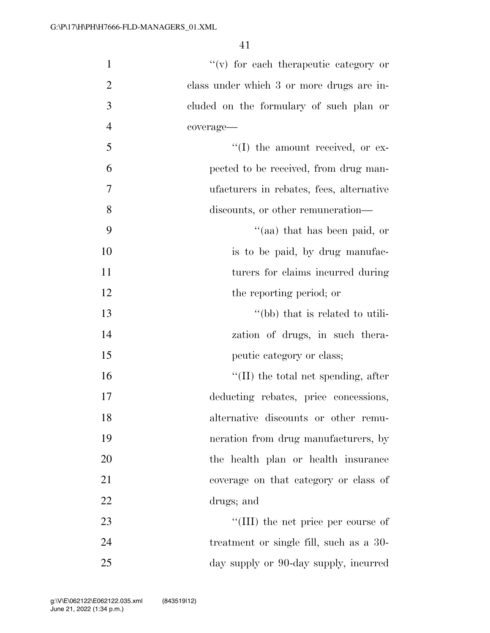| $\mathbf{1}$   | $``(v)$ for each therapeutic category or    |
|----------------|---------------------------------------------|
| $\overline{2}$ | class under which 3 or more drugs are in-   |
| 3              | cluded on the formulary of such plan or     |
| $\overline{4}$ | coverage-                                   |
| 5              | "(I) the amount received, or ex-            |
| 6              | pected to be received, from drug man-       |
| $\overline{7}$ | ufacturers in rebates, fees, alternative    |
| 8              | discounts, or other remuneration—           |
| 9              | "(aa) that has been paid, or                |
| 10             | is to be paid, by drug manufac-             |
| 11             | turers for claims incurred during           |
| 12             | the reporting period; or                    |
| 13             | "(bb) that is related to utili-             |
| 14             | zation of drugs, in such thera-             |
| 15             | peutic category or class;                   |
| 16             | $\lq\lq$ (II) the total net spending, after |
| 17             | deducting rebates, price concessions,       |
| 18             | alternative discounts or other remu-        |
| 19             | neration from drug manufacturers, by        |
| 20             | the health plan or health insurance         |
| 21             | coverage on that category or class of       |
| 22             | drugs; and                                  |
| 23             | "(III) the net price per course of          |
| 24             | treatment or single fill, such as a 30-     |
| 25             | day supply or 90-day supply, incurred       |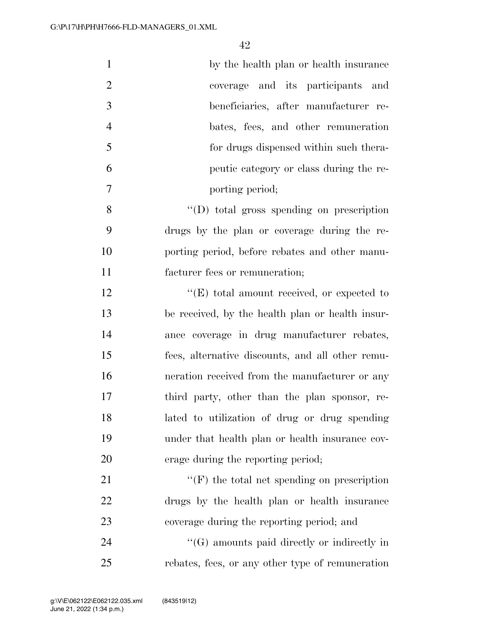| $\mathbf{1}$   | by the health plan or health insurance                      |
|----------------|-------------------------------------------------------------|
| $\overline{2}$ | coverage and its participants and                           |
| 3              | beneficiaries, after manufacturer re-                       |
| $\overline{4}$ | bates, fees, and other remuneration                         |
| 5              | for drugs dispensed within such thera-                      |
| 6              | peutic category or class during the re-                     |
| $\tau$         | porting period;                                             |
| 8              | "(D) total gross spending on prescription                   |
| 9              | drugs by the plan or coverage during the re-                |
| 10             | porting period, before rebates and other manu-              |
| 11             | facturer fees or remuneration;                              |
| 12             | $\lq\lq(E)$ total amount received, or expected to           |
| 13             | be received, by the health plan or health insur-            |
| 14             | ance coverage in drug manufacturer rebates,                 |
| 15             | fees, alternative discounts, and all other remu-            |
| 16             | neration received from the manufacturer or any              |
| 17             | third party, other than the plan sponsor, re-               |
| 18             | lated to utilization of drug or drug spending               |
| 19             | under that health plan or health insurance cov-             |
| 20             | erage during the reporting period;                          |
| 21             | $\lq\lq(\mathbf{F})$ the total net spending on prescription |
| 22             | drugs by the health plan or health insurance                |
| 23             | coverage during the reporting period; and                   |
| 24             | $\lq\lq(G)$ amounts paid directly or indirectly in          |
| 25             | rebates, fees, or any other type of remuneration            |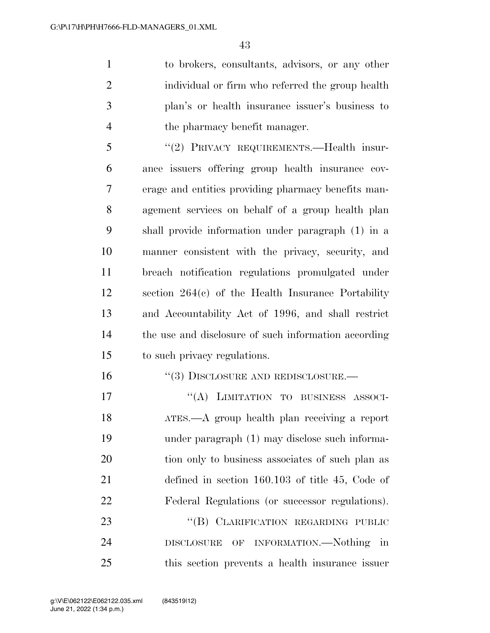to brokers, consultants, advisors, or any other individual or firm who referred the group health plan's or health insurance issuer's business to the pharmacy benefit manager.

 ''(2) PRIVACY REQUIREMENTS.—Health insur- ance issuers offering group health insurance cov- erage and entities providing pharmacy benefits man- agement services on behalf of a group health plan shall provide information under paragraph (1) in a manner consistent with the privacy, security, and breach notification regulations promulgated under section 264(c) of the Health Insurance Portability and Accountability Act of 1996, and shall restrict the use and disclosure of such information according to such privacy regulations.

16 "(3) DISCLOSURE AND REDISCLOSURE.—

17 "(A) LIMITATION TO BUSINESS ASSOCI- ATES.—A group health plan receiving a report under paragraph (1) may disclose such informa- tion only to business associates of such plan as defined in section 160.103 of title 45, Code of Federal Regulations (or successor regulations). 23 "(B) CLARIFICATION REGARDING PUBLIC

 DISCLOSURE OF INFORMATION.—Nothing in this section prevents a health insurance issuer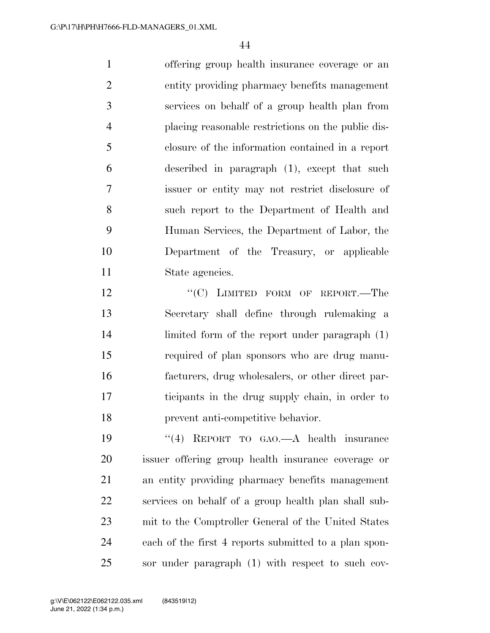offering group health insurance coverage or an entity providing pharmacy benefits management services on behalf of a group health plan from placing reasonable restrictions on the public dis- closure of the information contained in a report described in paragraph (1), except that such issuer or entity may not restrict disclosure of such report to the Department of Health and Human Services, the Department of Labor, the Department of the Treasury, or applicable State agencies.

12 "'(C) LIMITED FORM OF REPORT.—The Secretary shall define through rulemaking a limited form of the report under paragraph (1) required of plan sponsors who are drug manu- facturers, drug wholesalers, or other direct par- ticipants in the drug supply chain, in order to prevent anti-competitive behavior.

 ''(4) REPORT TO GAO.—A health insurance issuer offering group health insurance coverage or an entity providing pharmacy benefits management services on behalf of a group health plan shall sub- mit to the Comptroller General of the United States each of the first 4 reports submitted to a plan spon-sor under paragraph (1) with respect to such cov-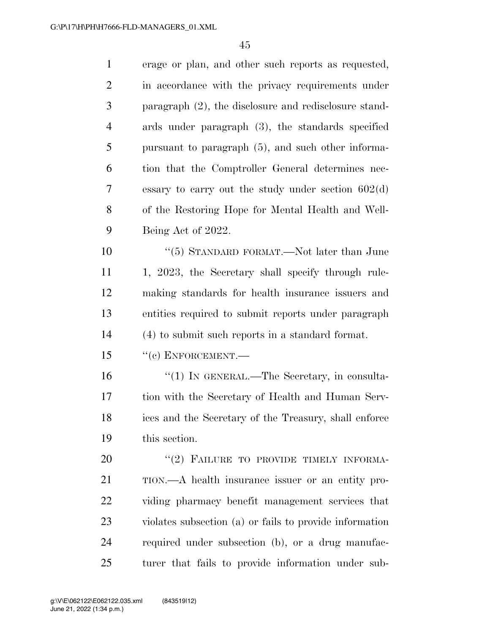| $\mathbf{1}$   | erage or plan, and other such reports as requested,      |
|----------------|----------------------------------------------------------|
| $\overline{2}$ | in accordance with the privacy requirements under        |
| 3              | paragraph $(2)$ , the disclosure and redisclosure stand- |
| $\overline{4}$ | ards under paragraph (3), the standards specified        |
| 5              | pursuant to paragraph (5), and such other informa-       |
| 6              | tion that the Comptroller General determines nec-        |
| 7              | essary to carry out the study under section $602(d)$     |
| 8              | of the Restoring Hope for Mental Health and Well-        |
| 9              | Being Act of 2022.                                       |
| 10             | "(5) STANDARD FORMAT.—Not later than June                |
| 11             | 1, 2023, the Secretary shall specify through rule-       |
| 12             | making standards for health insurance issuers and        |
| 13             | entities required to submit reports under paragraph      |
| 14             | (4) to submit such reports in a standard format.         |
| 15             | $``(c)$ ENFORCEMENT.—                                    |
| 16             | "(1) IN GENERAL.—The Secretary, in consulta-             |
| 17             | tion with the Secretary of Health and Human Serv-        |
| 18             | ices and the Secretary of the Treasury, shall enforce    |
| 19             | this section.                                            |
| 20             | "(2) FAILURE TO PROVIDE TIMELY INFORMA-                  |
| 21             | TION.—A health insurance issuer or an entity pro-        |
| 22             | viding pharmacy benefit management services that         |
| 23             | violates subsection (a) or fails to provide information  |
| 24             | required under subsection (b), or a drug manufac-        |
| 25             | turer that fails to provide information under sub-       |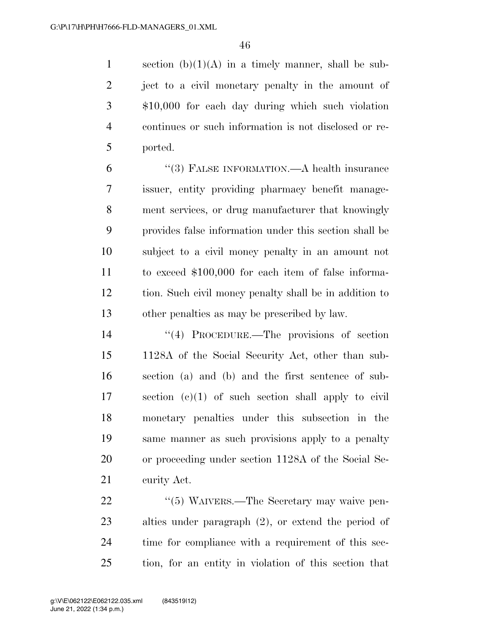1 section  $(b)(1)(A)$  in a timely manner, shall be sub-2 ject to a civil monetary penalty in the amount of \$10,000 for each day during which such violation continues or such information is not disclosed or re-ported.

 ''(3) FALSE INFORMATION.—A health insurance issuer, entity providing pharmacy benefit manage- ment services, or drug manufacturer that knowingly provides false information under this section shall be subject to a civil money penalty in an amount not to exceed \$100,000 for each item of false informa- tion. Such civil money penalty shall be in addition to other penalties as may be prescribed by law.

 ''(4) PROCEDURE.—The provisions of section 1128A of the Social Security Act, other than sub- section (a) and (b) and the first sentence of sub- section (c)(1) of such section shall apply to civil monetary penalties under this subsection in the same manner as such provisions apply to a penalty or proceeding under section 1128A of the Social Se-curity Act.

22 "(5) WAIVERS.—The Secretary may waive pen- alties under paragraph (2), or extend the period of time for compliance with a requirement of this sec-tion, for an entity in violation of this section that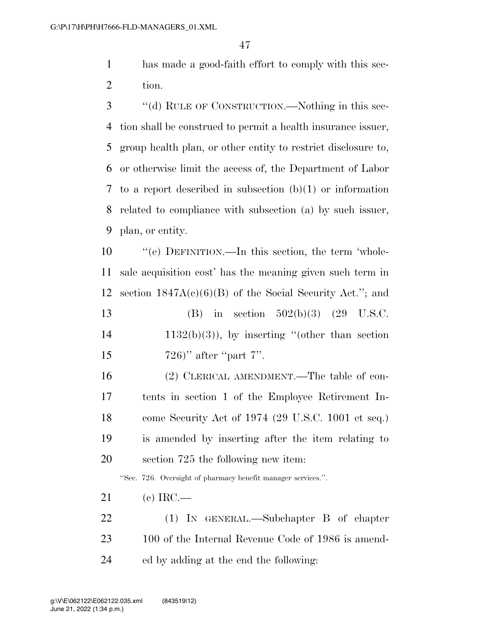has made a good-faith effort to comply with this sec-tion.

 ''(d) RULE OF CONSTRUCTION.—Nothing in this sec- tion shall be construed to permit a health insurance issuer, group health plan, or other entity to restrict disclosure to, or otherwise limit the access of, the Department of Labor to a report described in subsection (b)(1) or information related to compliance with subsection (a) by such issuer, plan, or entity.

 ''(e) DEFINITION.—In this section, the term 'whole- sale acquisition cost' has the meaning given such term in section 1847A(c)(6)(B) of the Social Security Act.''; and

 (B) in section 502(b)(3) (29 U.S.C. 1132(b)(3)), by inserting "(other than section 15 )" after "part 7".

 (2) CLERICAL AMENDMENT.—The table of con- tents in section 1 of the Employee Retirement In- come Security Act of 1974 (29 U.S.C. 1001 et seq.) is amended by inserting after the item relating to section 725 the following new item:

''Sec. 726. Oversight of pharmacy benefit manager services.''.

- (c) IRC.—
- (1) IN GENERAL.—Subchapter B of chapter 100 of the Internal Revenue Code of 1986 is amend-ed by adding at the end the following: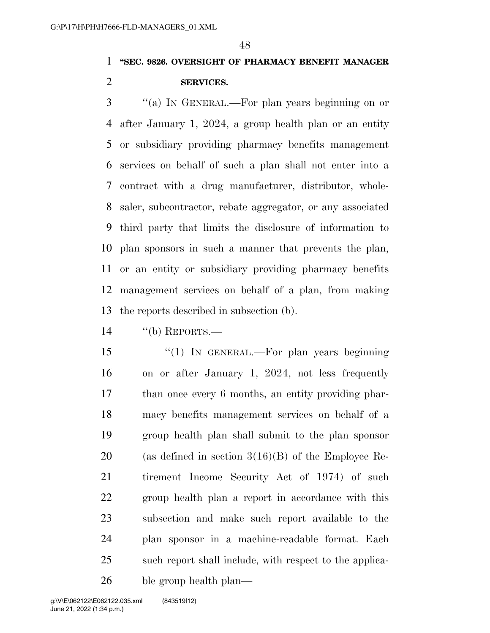### **''SEC. 9826. OVERSIGHT OF PHARMACY BENEFIT MANAGER SERVICES.**

 ''(a) IN GENERAL.—For plan years beginning on or after January 1, 2024, a group health plan or an entity or subsidiary providing pharmacy benefits management services on behalf of such a plan shall not enter into a contract with a drug manufacturer, distributor, whole- saler, subcontractor, rebate aggregator, or any associated third party that limits the disclosure of information to plan sponsors in such a manner that prevents the plan, or an entity or subsidiary providing pharmacy benefits management services on behalf of a plan, from making the reports described in subsection (b).

''(b) REPORTS.—

 ''(1) IN GENERAL.—For plan years beginning on or after January 1, 2024, not less frequently than once every 6 months, an entity providing phar- macy benefits management services on behalf of a group health plan shall submit to the plan sponsor 20 (as defined in section  $3(16)(B)$  of the Employee Re- tirement Income Security Act of 1974) of such group health plan a report in accordance with this subsection and make such report available to the plan sponsor in a machine-readable format. Each such report shall include, with respect to the applica-ble group health plan—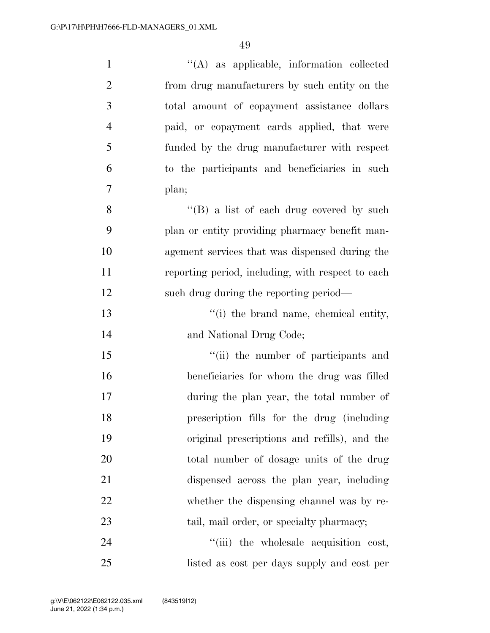| $\mathbf{1}$   | "(A) as applicable, information collected         |
|----------------|---------------------------------------------------|
| $\overline{2}$ | from drug manufacturers by such entity on the     |
| 3              | total amount of copayment assistance dollars      |
| $\overline{4}$ | paid, or copayment cards applied, that were       |
| 5              | funded by the drug manufacturer with respect      |
| 6              | to the participants and beneficiaries in such     |
| 7              | plan;                                             |
| 8              | "(B) a list of each drug covered by such          |
| 9              | plan or entity providing pharmacy benefit man-    |
| 10             | agement services that was dispensed during the    |
| 11             | reporting period, including, with respect to each |
| 12             | such drug during the reporting period—            |
| 13             | "(i) the brand name, chemical entity,             |
| 14             | and National Drug Code;                           |
| 15             | "(ii) the number of participants and              |
| 16             | beneficiaries for whom the drug was filled        |
| 17             | during the plan year, the total number of         |
| 18             | prescription fills for the drug (including        |
| 19             | original prescriptions and refills), and the      |
| 20             | total number of dosage units of the drug          |
| 21             | dispensed across the plan year, including         |
| 22             | whether the dispensing channel was by re-         |
| 23             | tail, mail order, or specialty pharmacy;          |
| 24             | "(iii) the wholesale acquisition cost,            |
| 25             | listed as cost per days supply and cost per       |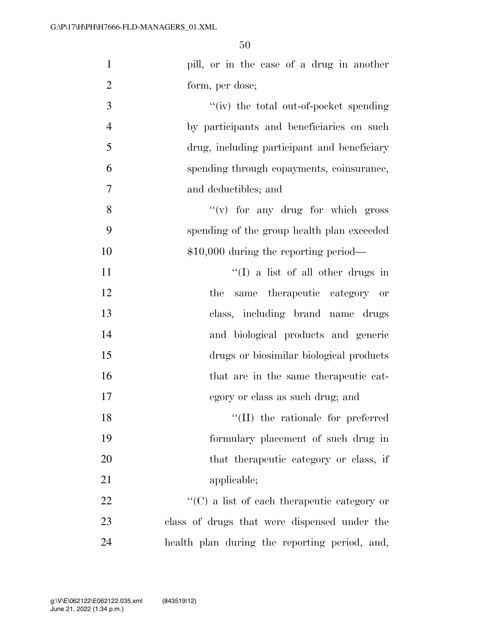| $\mathbf{1}$   | pill, or in the case of a drug in another            |
|----------------|------------------------------------------------------|
| $\overline{2}$ | form, per dose;                                      |
| 3              | "(iv) the total out-of-pocket spending               |
| $\overline{4}$ | by participants and beneficiaries on such            |
| 5              | drug, including participant and beneficiary          |
| 6              | spending through copayments, coinsurance,            |
| $\overline{7}$ | and deductibles; and                                 |
| 8              | $f'(v)$ for any drug for which gross                 |
| 9              | spending of the group health plan exceeded           |
| 10             | $$10,000$ during the reporting period—               |
| 11             | $\lq\lq$ (I) a list of all other drugs in            |
| 12             | therapeutic category or<br>the<br>same               |
| 13             | class, including brand name drugs                    |
| 14             | and biological products and generic                  |
| 15             | drugs or biosimilar biological products              |
| 16             | that are in the same therapeutic cat-                |
| 17             | egory or class as such drug; and                     |
| 18             | "(II) the rationale for preferred                    |
| 19             | formulary placement of such drug in                  |
| 20             | that the rapeutic category or class, if              |
| 21             | applicable;                                          |
| 22             | $\lq\lq$ (C) a list of each the rapeutic category or |
| 23             | class of drugs that were dispensed under the         |
| 24             | health plan during the reporting period, and,        |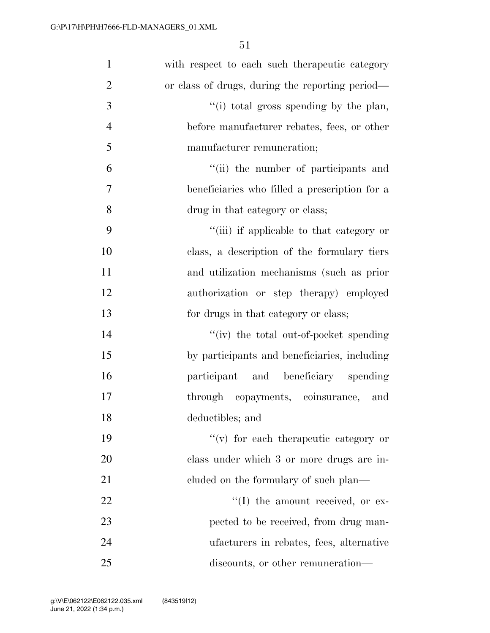| $\mathbf{1}$   | with respect to each such the rapeutic category |
|----------------|-------------------------------------------------|
| $\overline{2}$ | or class of drugs, during the reporting period— |
| 3              | "(i) total gross spending by the plan,          |
| $\overline{4}$ | before manufacturer rebates, fees, or other     |
| 5              | manufacturer remuneration;                      |
| 6              | "(ii) the number of participants and            |
| 7              | beneficiaries who filled a prescription for a   |
| 8              | drug in that category or class;                 |
| 9              | "(iii) if applicable to that category or        |
| 10             | class, a description of the formulary tiers     |
| 11             | and utilization mechanisms (such as prior       |
| 12             | authorization or step therapy) employed         |
| 13             | for drugs in that category or class;            |
| 14             | "(iv) the total out-of-pocket spending          |
| 15             | by participants and beneficiaries, including    |
| 16             | participant and beneficiary spending            |
| 17             | through copayments, coinsurance,<br>and         |
| 18             | deductibles; and                                |
| 19             | $f'(v)$ for each therapeutic category or        |
| 20             | class under which 3 or more drugs are in-       |
| 21             | cluded on the formulary of such plan—           |
| 22             | $\lq\lq$ (I) the amount received, or ex-        |
| 23             | pected to be received, from drug man-           |
| 24             | ufacturers in rebates, fees, alternative        |
| 25             | discounts, or other remuneration—               |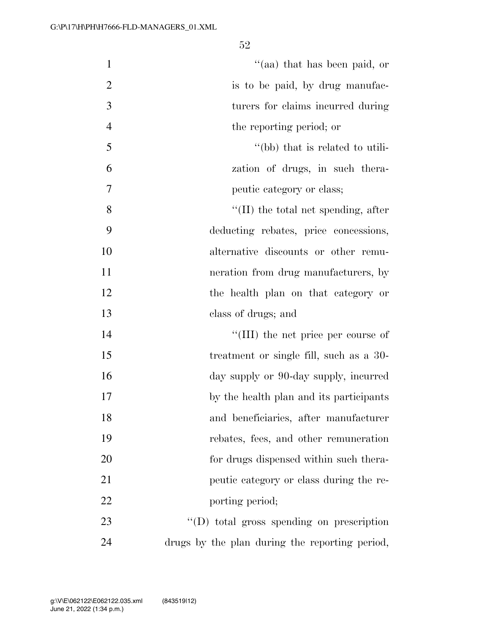| $\mathbf{1}$   | "(aa) that has been paid, or                   |
|----------------|------------------------------------------------|
| $\overline{2}$ | is to be paid, by drug manufac-                |
| 3              | turers for claims incurred during              |
| $\overline{4}$ | the reporting period; or                       |
| 5              | "(bb) that is related to utili-                |
| 6              | zation of drugs, in such thera-                |
| 7              | peutic category or class;                      |
| 8              | $\lq\lq$ (II) the total net spending, after    |
| 9              | deducting rebates, price concessions,          |
| 10             | alternative discounts or other remu-           |
| 11             | neration from drug manufacturers, by           |
| 12             | the health plan on that category or            |
| 13             | class of drugs; and                            |
| 14             | "(III) the net price per course of             |
| 15             | treatment or single fill, such as a 30-        |
| 16             | day supply or 90-day supply, incurred          |
| 17             | by the health plan and its participants        |
| 18             | and beneficiaries, after manufacturer          |
| 19             | rebates, fees, and other remuneration          |
| 20             | for drugs dispensed within such thera-         |
| 21             | peutic category or class during the re-        |
| 22             | porting period;                                |
| 23             | $\lq\lq$ total gross spending on prescription  |
| 24             | drugs by the plan during the reporting period, |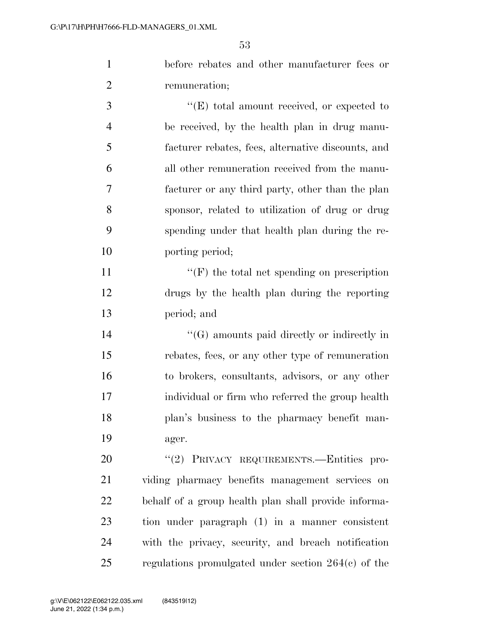before rebates and other manufacturer fees or remuneration;

 $\bullet$  (E) total amount received, or expected to be received, by the health plan in drug manu- facturer rebates, fees, alternative discounts, and all other remuneration received from the manu- facturer or any third party, other than the plan sponsor, related to utilization of drug or drug spending under that health plan during the re-porting period;

11  $"({\rm F})$  the total net spending on prescription drugs by the health plan during the reporting period; and

 ''(G) amounts paid directly or indirectly in rebates, fees, or any other type of remuneration to brokers, consultants, advisors, or any other individual or firm who referred the group health plan's business to the pharmacy benefit man-ager.

20 "(2) PRIVACY REQUIREMENTS.—Entities pro- viding pharmacy benefits management services on behalf of a group health plan shall provide informa- tion under paragraph (1) in a manner consistent with the privacy, security, and breach notification regulations promulgated under section 264(c) of the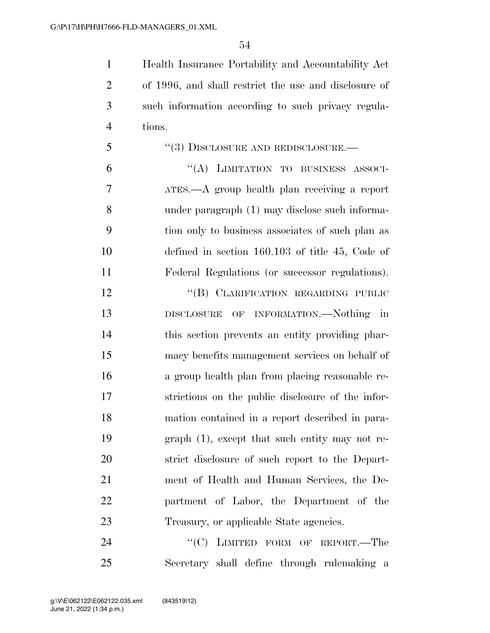Health Insurance Portability and Accountability Act of 1996, and shall restrict the use and disclosure of such information according to such privacy regula-tions.

 ''(3) DISCLOSURE AND REDISCLOSURE.— ''(A) LIMITATION TO BUSINESS ASSOCI-ATES.—A group health plan receiving a report

 under paragraph (1) may disclose such informa- tion only to business associates of such plan as defined in section 160.103 of title 45, Code of Federal Regulations (or successor regulations).

12 "(B) CLARIFICATION REGARDING PUBLIC DISCLOSURE OF INFORMATION.—Nothing in this section prevents an entity providing phar- macy benefits management services on behalf of a group health plan from placing reasonable re- strictions on the public disclosure of the infor- mation contained in a report described in para- graph (1), except that such entity may not re- strict disclosure of such report to the Depart- ment of Health and Human Services, the De- partment of Labor, the Department of the Treasury, or applicable State agencies.

24 "<sup>"</sup>(C) LIMITED FORM OF REPORT.—The Secretary shall define through rulemaking a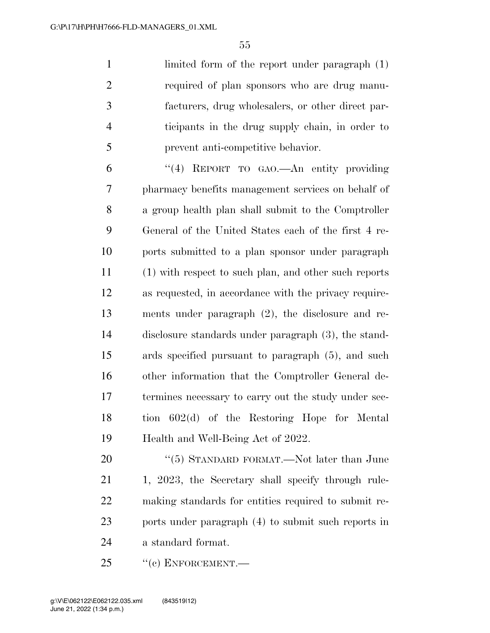limited form of the report under paragraph (1) required of plan sponsors who are drug manu- facturers, drug wholesalers, or other direct par- ticipants in the drug supply chain, in order to prevent anti-competitive behavior.

 ''(4) REPORT TO GAO.—An entity providing pharmacy benefits management services on behalf of a group health plan shall submit to the Comptroller General of the United States each of the first 4 re- ports submitted to a plan sponsor under paragraph (1) with respect to such plan, and other such reports as requested, in accordance with the privacy require- ments under paragraph (2), the disclosure and re- disclosure standards under paragraph (3), the stand- ards specified pursuant to paragraph (5), and such other information that the Comptroller General de- termines necessary to carry out the study under sec- tion 602(d) of the Restoring Hope for Mental Health and Well-Being Act of 2022.

20 "(5) STANDARD FORMAT.—Not later than June 21 1, 2023, the Secretary shall specify through rule- making standards for entities required to submit re- ports under paragraph (4) to submit such reports in a standard format.

25 "(c) ENFORCEMENT.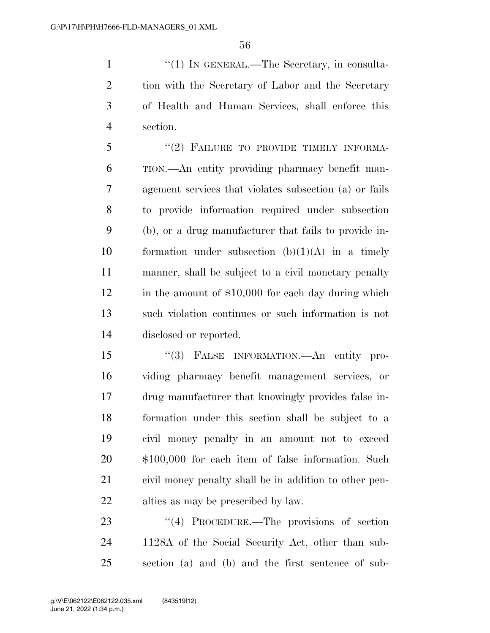1 ''(1) IN GENERAL.—The Secretary, in consulta- tion with the Secretary of Labor and the Secretary of Health and Human Services, shall enforce this section.

5 "(2) FAILURE TO PROVIDE TIMELY INFORMA- TION.—An entity providing pharmacy benefit man- agement services that violates subsection (a) or fails to provide information required under subsection (b), or a drug manufacturer that fails to provide in-10 formation under subsection  $(b)(1)(A)$  in a timely manner, shall be subject to a civil monetary penalty 12 in the amount of \$10,000 for each day during which such violation continues or such information is not disclosed or reported.

 ''(3) FALSE INFORMATION.—An entity pro- viding pharmacy benefit management services, or drug manufacturer that knowingly provides false in- formation under this section shall be subject to a civil money penalty in an amount not to exceed \$100,000 for each item of false information. Such civil money penalty shall be in addition to other pen-alties as may be prescribed by law.

23 "(4) PROCEDURE.—The provisions of section 1128A of the Social Security Act, other than sub-section (a) and (b) and the first sentence of sub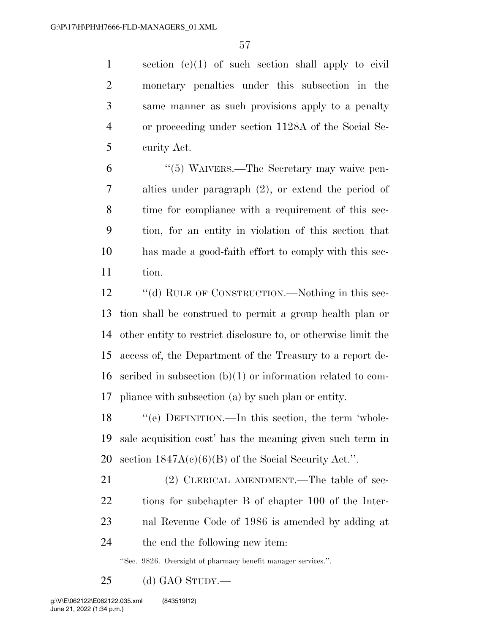section (c)(1) of such section shall apply to civil monetary penalties under this subsection in the same manner as such provisions apply to a penalty or proceeding under section 1128A of the Social Se-curity Act.

 ''(5) WAIVERS.—The Secretary may waive pen- alties under paragraph (2), or extend the period of time for compliance with a requirement of this sec- tion, for an entity in violation of this section that has made a good-faith effort to comply with this sec-tion.

12 "(d) RULE OF CONSTRUCTION.—Nothing in this sec- tion shall be construed to permit a group health plan or other entity to restrict disclosure to, or otherwise limit the access of, the Department of the Treasury to a report de- scribed in subsection (b)(1) or information related to com-pliance with subsection (a) by such plan or entity.

 ''(e) DEFINITION.—In this section, the term 'whole- sale acquisition cost' has the meaning given such term in 20 section  $1847A(c)(6)(B)$  of the Social Security Act.".

21 (2) CLERICAL AMENDMENT.—The table of sec- tions for subchapter B of chapter 100 of the Inter- nal Revenue Code of 1986 is amended by adding at the end the following new item:

''Sec. 9826. Oversight of pharmacy benefit manager services.''.

(d) GAO STUDY.—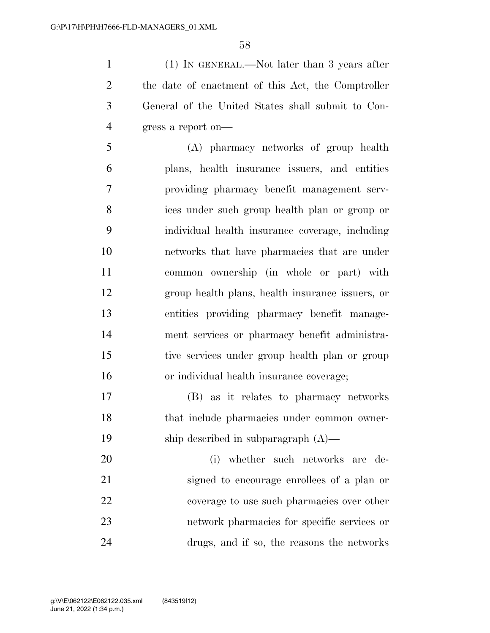(1) IN GENERAL.—Not later than 3 years after the date of enactment of this Act, the Comptroller General of the United States shall submit to Con-gress a report on—

 (A) pharmacy networks of group health plans, health insurance issuers, and entities providing pharmacy benefit management serv- ices under such group health plan or group or individual health insurance coverage, including networks that have pharmacies that are under common ownership (in whole or part) with group health plans, health insurance issuers, or entities providing pharmacy benefit manage- ment services or pharmacy benefit administra- tive services under group health plan or group or individual health insurance coverage;

 (B) as it relates to pharmacy networks that include pharmacies under common owner-ship described in subparagraph (A)—

 (i) whether such networks are de- signed to encourage enrollees of a plan or coverage to use such pharmacies over other network pharmacies for specific services or drugs, and if so, the reasons the networks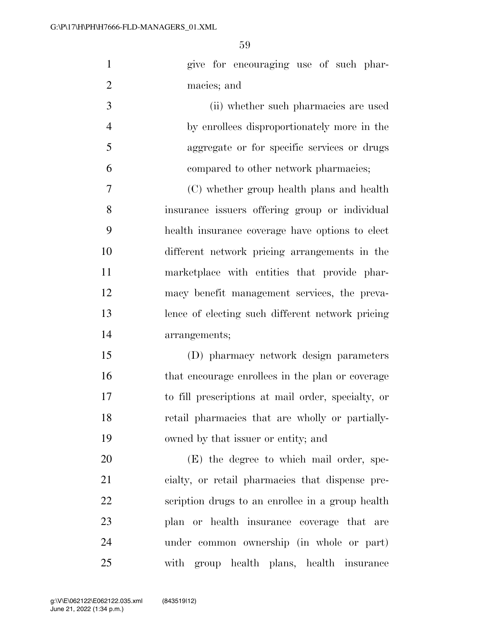| $\mathbf{1}$   | give for encouraging use of such phar-             |
|----------------|----------------------------------------------------|
| $\overline{2}$ | macies; and                                        |
| 3              | (ii) whether such pharmacies are used              |
| $\overline{4}$ | by enrollees disproportionately more in the        |
| 5              | aggregate or for specific services or drugs        |
| 6              | compared to other network pharmacies;              |
| $\overline{7}$ | (C) whether group health plans and health          |
| 8              | insurance issuers offering group or individual     |
| 9              | health insurance coverage have options to elect    |
| 10             | different network pricing arrangements in the      |
| 11             | marketplace with entities that provide phar-       |
| 12             | macy benefit management services, the preva-       |
| 13             | lence of electing such different network pricing   |
| 14             | arrangements;                                      |
| 15             | (D) pharmacy network design parameters             |
| 16             | that encourage enrollees in the plan or coverage   |
| 17             | to fill prescriptions at mail order, specialty, or |
| 18             | retail pharmacies that are wholly or partially-    |
| 19             | owned by that issuer or entity; and                |
| 20             | (E) the degree to which mail order, spe-           |
| 21             | cialty, or retail pharmacies that dispense pre-    |
| 22             | scription drugs to an enrollee in a group health   |
| 23             | plan or health insurance coverage that are         |
| 24             | under common ownership (in whole or part)          |
| 25             | with group health plans, health insurance          |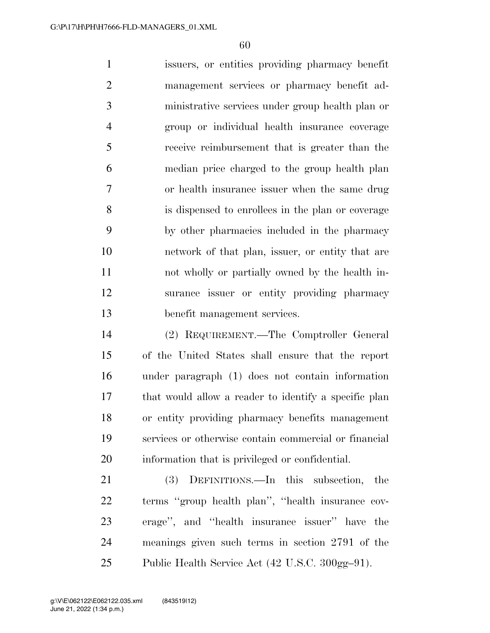issuers, or entities providing pharmacy benefit management services or pharmacy benefit ad- ministrative services under group health plan or group or individual health insurance coverage receive reimbursement that is greater than the median price charged to the group health plan or health insurance issuer when the same drug is dispensed to enrollees in the plan or coverage by other pharmacies included in the pharmacy network of that plan, issuer, or entity that are not wholly or partially owned by the health in- surance issuer or entity providing pharmacy benefit management services.

 (2) REQUIREMENT.—The Comptroller General of the United States shall ensure that the report under paragraph (1) does not contain information that would allow a reader to identify a specific plan or entity providing pharmacy benefits management services or otherwise contain commercial or financial information that is privileged or confidential.

 (3) DEFINITIONS.—In this subsection, the terms ''group health plan'', ''health insurance cov- erage'', and ''health insurance issuer'' have the meanings given such terms in section 2791 of the 25 Public Health Service Act  $(42 \text{ U.S.C. } 300 \text{ g} - 91)$ .